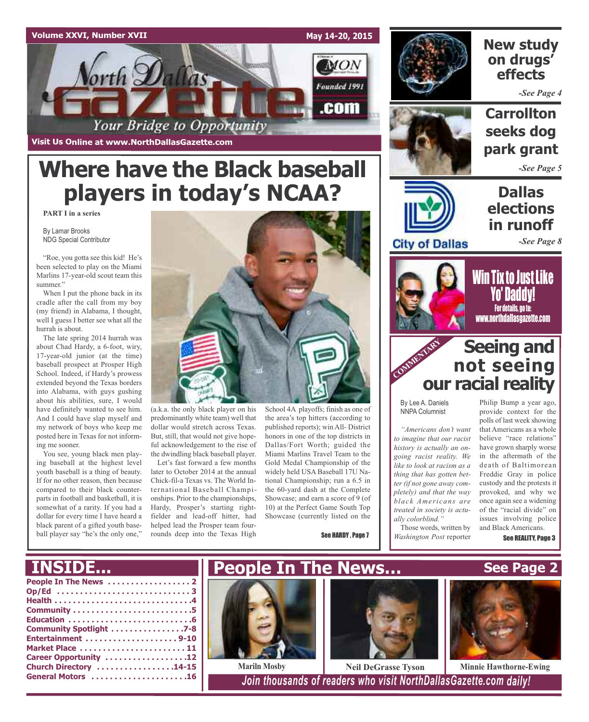### **Volume XXVI, Number XVII**

**May 14-20, 2015 MON** orth **Dal** Founded 1991 .com Your Bridge to Opportunity

**Visit Us Online at www.NorthDallasGazette.com**

## **Where have the Black baseball players in today's NCAA?**

**PART I in a series**

By Lamar Brooks NDG Special Contributor

"Roe, you gotta see this kid! He's been selected to play on the Miami Marlins 17-year-old scout team this summer."

When I put the phone back in its cradle after the call from my boy (my friend) in Alabama, I thought, well I guess I better see what all the hurrah is about.

The late spring 2014 hurrah was about Chad Hardy, a 6-foot, wiry, 17-year-old junior (at the time) baseball prospect at Prosper High School. Indeed, if Hardy's prowess extended beyond the Texas borders into Alabama, with guys gushing about his abilities, sure, I would have definitely wanted to see him. And I could have slap myself and my network of boys who keep me posted here in Texas for not informing me sooner.

You see, young black men playing baseball at the highest level youth baseball is a thing of beauty. If for no other reason, then because compared to their black counterparts in football and basketball, it is somewhat of a rarity. If you had a dollar for every time I have heard a black parent of a gifted youth baseball player say "he's the only one,"



(a.k.a. the only black player on his predominantly white team) well that dollar would stretch across Texas. But, still, that would not give hopeful acknowledgement to the rise of the dwindling black baseball player.

Let's fast forward a few months later to October 2014 at the annual Chick-fil-a Texas vs. The World International Baseball Championships. Prior to the championships, Hardy, Prosper's starting rightfielder and lead-off hitter, had helped lead the Prosper team fourrounds deep into the Texas High

School 4A playoffs; finish as one of the area's top hitters (according to published reports); win All- District honors in one of the top districts in Dallas/Fort Worth; guided the Miami Marlins Travel Team to the Gold Medal Championship of the widely held USA Baseball 17U National Championship; run a 6.5 in the 60-yard dash at the Complete Showcase; and earn a score of 9 (of 10) at the Perfect Game South Top Showcase (currently listed on the

See HARDY , Page 7



### **New study on drugs' effects**

*-See Page 4*



**Carrollton seeks dog park grant**

*-See Page 5*

### **Dallas elections in runoff**

**City of Dallas** 

*-See Page 8*



**Win Tix to Just Like** Yo' Daddy! For details, go to: www.northdallasgazette.com

### COMMENTARY RES **Seeing and not seeing our racial reality**

By Lee A. Daniels NNPA Columnist

*"Americans don't want to imagine that our racist history is actually an ongoing racist reality. We like to look at racism as a thing that has gotten better (if not gone away completely) and that the way black Americans are treated in society is actually colorblind."*

Those words, written by *Washington Post* reporter

Philip Bump a year ago, provide context for the polls of last week showing that Americans as a whole believe "race relations" have grown sharply worse in the aftermath of the death of Baltimorean Freddie Gray in police custody and the protests it provoked, and why we once again see a widening of the "racial divide" on issues involving police and Black Americans.

See REALITY, Page 3

**See Page 2**

### **INSIDE...**

| Community Spotlight 7-8 |
|-------------------------|
|                         |
| Market Place  11        |
| Career Opportunity 12   |
| Church Directory 14-15  |
| General Motors 16       |
|                         |







**Mariln Mosby Neil DeGrasse Tyson Minnie Hawthorne-Ewing**

**General Motors . . . . . . . . . . . . . . . . . . . . .16** *Join thousands of readers who visit NorthDallasGazette.com daily!*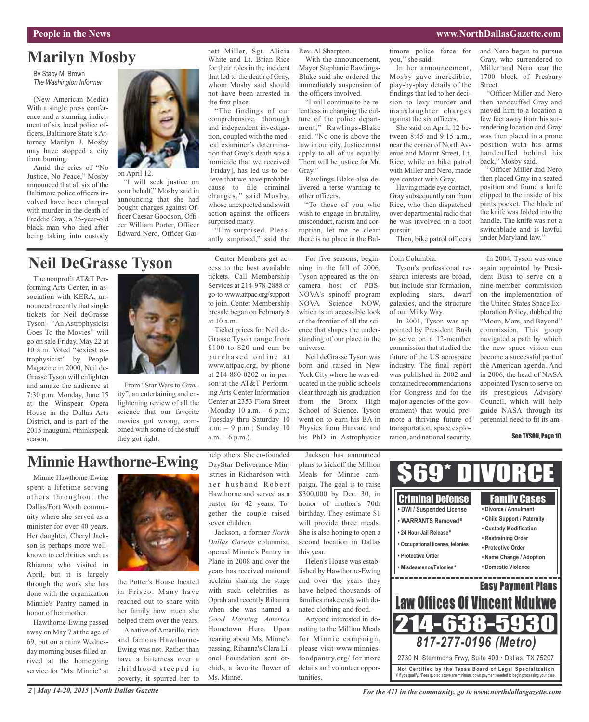### **Marilyn Mosby**

By Stacy M. Brown *The Washington Informer*

(New American Media) With a single press conference and a stunning indictment of six local police officers, Baltimore State's Attorney Marilyn J. Mosby may have stopped a city from burning.

Amid the cries of "No Justice, No Peace," Mosby announced that all six of the Baltimore police officers involved have been charged with murder in the death of Freddie Gray, a 25-year-old black man who died after being taking into custody



on April 12. "I will seek justice on your behalf," Mosby said in announcing that she had bought charges against Officer Caesar Goodson, Officer William Porter, Officer Edward Nero, Officer Gar-

### **Neil DeGrasse Tyson**

The nonprofit AT&T Performing Arts Center, in association with KERA, announced recently that single tickets for Neil deGrasse Tyson - "An Astrophysicist Goes To the Movies" will go on sale Friday, May 22 at 10 a.m. Voted "sexiest astrophysicist" by People Magazine in 2000, Neil de-Grasse Tyson will enlighten and amaze the audience at 7:30 p.m. Monday, June 15 at the Winspear Opera House in the Dallas Arts District, and is part of the 2015 inaugural #thinkspeak season.



From "Star Wars to Gravity", an entertaining and enlightening review of all the science that our favorite movies got wrong, combined with some of the stuff they got right.

Center Members get access to the best available tickets. Call Membership Services at 214-978-2888 or go to www.attpac.org/support to join. Center Membership presale began on February 6 at  $10a \text{ m}$ 

"I'm surprised. Pleasantly surprised," said the

rett Miller, Sgt. Alicia White and Lt. Brian Rice for their roles in the incident that led to the death of Gray, whom Mosby said should not have been arrested in

"The findings of our comprehensive, thorough and independent investigation, coupled with the medical examiner's determination that Gray's death was a homicide that we received [Friday], has led us to believe that we have probable cause to file criminal charges," said Mosby, whose unexpected and swift action against the officers

the first place.

surprised many.

Ticket prices for Neil de-Grasse Tyson range from \$100 to \$20 and can be purchased online at www.attpac.org, by phone at 214-880-0202 or in person at the AT&T Performing Arts Center Information Center at 2353 Flora Street (Monday 10 a.m. – 6 p.m.; Tuesday thru Saturday 10 a.m. – 9 p.m.; Sunday 10  $a.m. - 6 p.m.$ ).

Rev. Al Sharpton.

With the announcement, Mayor Stephanie Rawlings-Blake said she ordered the immediately suspension of the officers involved.

"I will continue to be relentless in changing the culture of the police department," Rawlings-Blake said. "No one is above the law in our city. Justice must apply to all of us equally. There will be justice for Mr. Gray."

Rawlings-Blake also delivered a terse warning to other officers.

"To those of you who wish to engage in brutality, misconduct, racism and corruption, let me be clear: there is no place in the Bal-

For five seasons, beginning in the fall of 2006, Tyson appeared as the oncamera host of PBS-NOVA's spinoff program NOVA Science NOW, which is an accessible look at the frontier of all the science that shapes the understanding of our place in the universe.

Neil deGrasse Tyson was born and raised in New York City where he was educated in the public schools clear through his graduation from the Bronx High School of Science. Tyson went on to earn his BA in Physics from Harvard and his PhD in Astrophysics

timore police force for you," she said.

In her announcement, Mosby gave incredible, play-by-play details of the findings that led to her decision to levy murder and manslaughter charges against the six officers.

She said on April, 12 between 8:45 and 9:15 a.m., near the corner of North Avenue and Mount Street, Lt. Rice, while on bike patrol with Miller and Nero, made eye contact with Gray.

Having made eye contact, Gray subsequently ran from Rice, who then dispatched over departmental radio that he was involved in a foot pursuit.

Then, bike patrol officers

#### from Columbia.

Tyson's professional research interests are broad, but include star formation, exploding stars, dwarf galaxies, and the structure

In 2001, Tyson was appointed by President Bush to serve on a 12-member commission that studied the future of the US aerospace industry. The final report was published in 2002 and contained recommendations (for Congress and for the major agencies of the government) that would promote a thriving future of transportation, space exploration, and national security.

and Nero began to pursue Gray, who surrendered to Miller and Nero near the 1700 block of Presbury Street.

"Officer Miller and Nero then handcuffed Gray and moved him to a location a few feet away from his surrendering location and Gray was then placed in a prone position with his arms handcuffed behind his back," Mosby said.

"Officer Miller and Nero then placed Gray in a seated position and found a knife clipped to the inside of his pants pocket. The blade of the knife was folded into the handle. The knife was not a switchblade and is lawful under Maryland law."

In 2004, Tyson was once again appointed by President Bush to serve on a nine-member commission on the implementation of the United States Space Exploration Policy, dubbed the "Moon, Mars, and Beyond" commission. This group navigated a path by which the new space vision can become a successful part of the American agenda. And in 2006, the head of NASA appointed Tyson to serve on its prestigious Advisory Council, which will help guide NASA through its perennial need to fit its am-

#### See TYSON, Page 10

### **Minnie Hawthorne-Ewing**

Minnie Hawthorne-Ewing spent a lifetime serving others throughout the Dallas/Fort Worth community where she served as a minister for over 40 years. Her daughter, Cheryl Jackson is perhaps more wellknown to celebrities such as Rhianna who visited in April, but it is largely through the work she has done with the organization Minnie's Pantry named in honor of her mother.

Hawthorne-Ewing passed away on May 7 at the age of 69, but on a rainy Wednesday morning buses filled arrived at the homegoing service for "Ms. Minnie" at



the Potter's House located in Frisco. Many have reached out to share with her family how much she helped them over the years.

A native of Amarillo, rich and famous Hawthorne-Ewing was not. Rather than have a bitterness over a childhood steeped in poverty, it spurred her to help others. She co-founded DayStar Deliverance Ministries in Richardson with her husband Robert Hawthorne and served as a pastor for 42 years. Together the couple raised seven children.

Jackson, a former *North Dallas Gazette* columnist, opened Minnie's Pantry in Plano in 2008 and over the years has received national acclaim sharing the stage with such celebrities as Oprah and recently Rihanna when she was named a *Good Morning America* Hometown Hero. Upon hearing about Ms. Minne's passing, Rihanna's Clara Lionel Foundation sent orchids, a favorite flower of Ms. Minne.

Jackson has announced plans to kickoff the Million Meals for Minnie campaign. The goal is to raise \$300,000 by Dec. 30, in honor of mother's 70th birthday. They estimate \$1 will provide three meals. She is also hoping to open a second location in Dallas this year.

Helen's House was established by Hawthorne-Ewing and over the years they have helped thousands of families make ends with donated clothing and food.

Anyone interested in donating to the Million Meals for Minnie campaign, please visit www.minniesfoodpantry.org/ for more details and volunteer opportunities.



*For the 411 in the community, go to www.northdallasgazette.com*

of our Milky Way.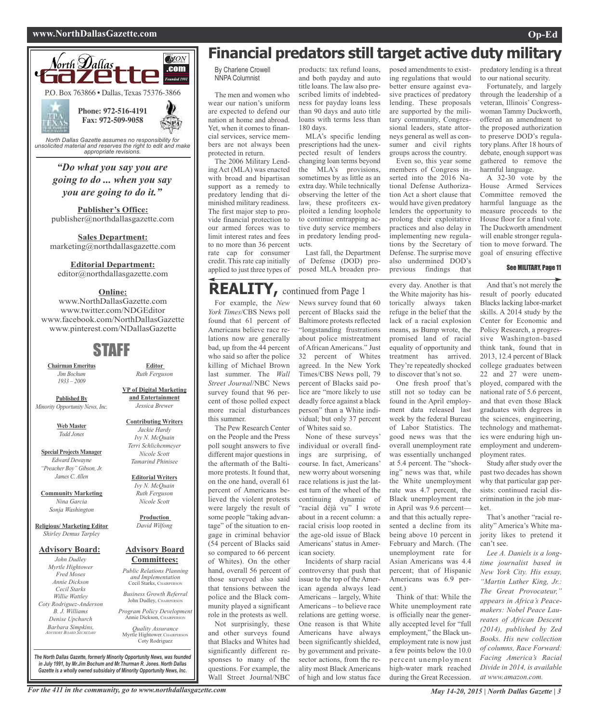

*North Dallas Gazette assumes no responsibility for unsolicited material and reserves the right to edit and make appropriate revisions.*

*"Do what you say you are going to do ... when you say you are going to do it."*

**Publisher's Office:** publisher@northdallasgazette.com

**Sales Department:** marketing@northdallasgazette.com

**Editorial Department:**

editor@northdallasgazette.com

### **Online:**

www.NorthDallasGazette.com www.twitter.com/NDGEditor www.facebook.com/NorthDallasGazette www.pinterest.com/NDallasGazette

### STAFF

**Chairman Emeritus** *Jim Bochum 1933 – 2009*

**Published By** *Minority Opportunity News, Inc.*

> **Web Master** *Todd Jones*

**Special Projects Manager** *Edward Dewayne "Preacher Boy" Gibson, Jr. James C. Allen*

**Community Marketing** *Nina Garcia Sonja Washington*

**Religious/ Marketing Editor** *Shirley Demus Tarpley*

#### **Advisory Board:**

*John Dudley Myrtle Hightower Fred Moses Annie Dickson Cecil Starks Willie Wattley Coty Rodriguez-Anderson B. J. Williams Denise Upchurch Barbara Simpkins, ADVISORY BOARD SECRETARY*

For the 411 in the community, go to www.northdallasgazette.com May 14-20, 2015 | North Dallas Gazette | 3

*The North Dallas Gazette, formerly Minority Opportunity News, was founded in July 1991, by Mr.Jim Bochum and Mr.Thurman R. Jones. North Dallas Gazette is a wholly owned subsidairy of Minority Opportunity News, Inc.*

## **Financial predators still target active duty military**

By Charlene Crowell NNPA Columnist

The men and women who wear our nation's uniform are expected to defend our nation at home and abroad. Yet, when it comes to financial services, service members are not always been protected in return.

The 2006 Military Lending Act (MLA) was enacted with broad and bipartisan support as a remedy to predatory lending that diminished military readiness. The first major step to provide financial protection to our armed forces was to limit interest rates and fees to no more than 36 percent rate cap for consumer credit. This rate cap initially applied to just three types of

products: tax refund loans, and both payday and auto title loans. The law also prescribed limits of indebtedness for payday loans less than 90 days and auto title loans with terms less than 180 days.

MLA's specific lending prescriptions had the unexpected result of lenders changing loan terms beyond the MLA's provisions, sometimes by as little as an extra day. While technically observing the letter of the law, these profiteers exploited a lending loophole to continue entrapping active duty service members in predatory lending products.

Last fall, the Department of Defense (DOD) proposed MLA broaden pro-

### **REALITY,** continued from Page <sup>1</sup>

For example, the *New York Times*/CBS News poll found that 61 percent of Americans believe race relations now are generally bad, up from the 44 percent who said so after the police killing of Michael Brown last summer. The *Wall Street Journal*/NBC News survey found that 96 percent of those polled expect more racial disturbances this summer.

The Pew Research Center on the People and the Press poll sought answers to five different major questions in the aftermath of the Baltimore protests. It found that, on the one hand, overall 61 percent of Americans believed the violent protests were largely the result of some people "taking advantage" of the situation to engage in criminal behavior (54 percent of Blacks said so compared to 66 percent of Whites). On the other hand, overall 56 percent of those surveyed also said that tensions between the police and the Black community played a significant role in the protests as well.

Not surprisingly, these and other surveys found that Blacks and Whites had significantly different responses to many of the questions. For example, the Wall Street Journal/NBC

News survey found that 60 percent of Blacks said the Baltimore protests reflected "longstanding frustrations about police mistreatment of African Americans." Just 32 percent of Whites agreed. In the New York Times/CBS News poll, 79 percent of Blacks said police are "more likely to use deadly force against a black person" than a White individual; but only 37 percent of Whites said so.

None of these surveys' individual or overall findings are surprising, of course. In fact, Americans' new worry about worsening race relations is just the latest turn of the wheel of the continuing dynamic of "racial déjà vu" I wrote about in a recent column: a racial crisis loop rooted in the age-old issue of Black Americans'status in American society.

Incidents of sharp racial controversy that push that issue to the top of the American agenda always lead Americans – largely, White Americans – to believe race relations are getting worse. One reason is that White Americans have always been significantly shielded, by government and privatesector actions, from the reality most Black Americans of high and low status face

posed amendments to existing regulations that would better ensure against evasive practices of predatory lending. These proposals are supported by the military community, Congressional leaders, state attorneys general as well as consumer and civil rights groups across the country.

Even so, this year some members of Congress inserted into the 2016 National Defense Authorization Act a short clause that would have given predatory lenders the opportunity to prolong their exploitative practices and also delay in implementing new regulations by the Secretary of Defense. The surprise move also undermined DOD's previous findings that

every day. Another is that the White majority has historically always taken refuge in the belief that the lack of a racial explosion means, as Bump wrote, the promised land of racial equality of opportunity and treatment has arrived. They're repeatedly shocked to discover that's not so.

One fresh proof that's still not so today can be found in the April employment data released last week by the federal Bureau of Labor Statistics. The good news was that the overall unemployment rate was essentially unchanged at 5.4 percent. The "shocking" news was that, while the White unemployment rate was 4.7 percent, the Black unemployment rate in April was 9.6 percent and that this actually represented a decline from its being above 10 percent in February and March. (The unemployment rate for Asian Americans was 4.4 percent; that of Hispanic Americans was 6.9 percent.)

Think of that: While the White unemployment rate is officially near the generally accepted level for "full employment," the Black unemployment rate is now just a few points below the 10.0 percent unemployment high-water mark reached during the Great Recession.

predatory lending is a threat to our national security.

Fortunately, and largely through the leadership of a veteran, Illinois' Congresswoman Tammy Duckworth, offered an amendment to the proposed authorization to preserve DOD's regulatory plans. After 18 hours of debate, enough support was gathered to remove the harmful language.

A 32-30 vote by the House Armed Services Committee removed the harmful language as the measure proceeds to the House floor for a final vote. The Duckworth amendment will enable stronger regulation to move forward. The goal of ensuring effective

#### See MILITARY, Page 11

And that's not merely the result of poorly educated Blacks lacking labor-market skills. A 2014 study by the Center for Economic and Policy Research, a progressive Washington-based think tank, found that in 2013, 12.4 percent of Black college graduates between 22 and 27 were unemployed, compared with the national rate of 5.6 percent, and that even those Black graduates with degrees in the sciences, engineering, technology and mathematics were enduring high unemployment and underemployment rates.

Study after study over the past two decades has shown why that particular gap persists: continued racial discrimination in the job market.

That's another "racial reality" America's White majority likes to pretend it can't see.

*Lee A. Daniels is a longtime journalist based in New York City. His essay, "Martin Luther King, Jr.: The Great Provocateur," appears in Africa's Peacemakers: Nobel Peace Laureates of African Descent (2014), published by Zed Books. His new collection of columns, Race Forward: Facing America's Racial Divide in 2014, is available at www.amazon.com.*



#### **Contributing Writers** *Jackie Hardy Ivy N. McQuain Terri Schlichenmeyer Nicole Scott*

*Jessica Brewer*

### *Tamarind Phinisee* **Editorial Writers**

*Ivy N. McQuain Ruth Ferguson Nicole Scott*

**Production** *David Wilfong*

### **Advisory Board Committees:**

Cecil Starks, CHAIRPERSON *Business Growth Referral* John Dudley, CHAIRPERSON

*Public Relations Planning and Implementation*

*Program Policy Development* Annie Dickson, CHAIRPERS

*Quality Assurance* Myrtle Hightower, CHAIRPERSON Coty Rodriguez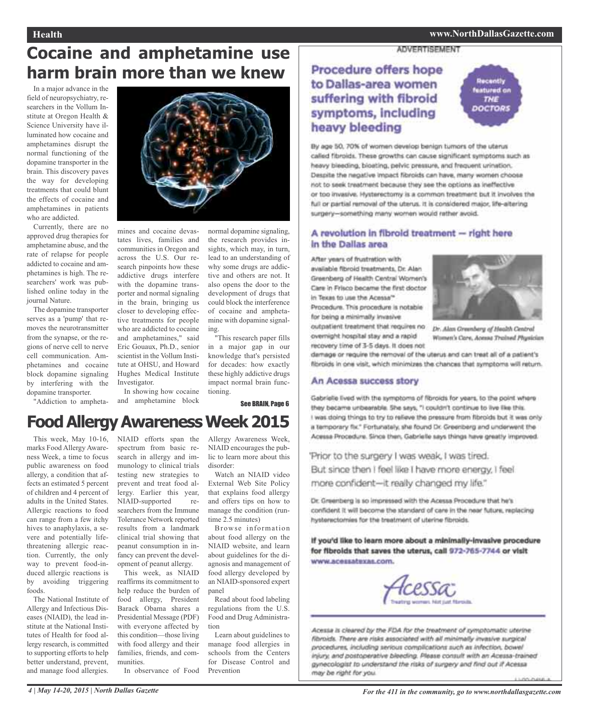## **Cocaine and amphetamine use harm brain more than we knew**

In a major advance in the field of neuropsychiatry, researchers in the Vollum Institute at Oregon Health & Science University have illuminated how cocaine and amphetamines disrupt the normal functioning of the dopamine transporter in the brain. This discovery paves the way for developing treatments that could blunt the effects of cocaine and amphetamines in patients who are addicted.

Currently, there are no approved drug therapies for amphetamine abuse, and the rate of relapse for people addicted to cocaine and amphetamines is high. The researchers' work was published online today in the journal Nature.

The dopamine transporter serves as a 'pump' that removes the neurotransmitter from the synapse, or the regions of nerve cell to nerve cell communication. Amphetamines and cocaine block dopamine signaling by interfering with the dopamine transporter.

Investigator.

"Addiction to ampheta-



mines and cocaine devastates lives, families and communities in Oregon and across the U.S. Our research pinpoints how these addictive drugs interfere with the dopamine transporter and normal signaling in the brain, bringing us closer to developing effective treatments for people who are addicted to cocaine and amphetamines," said Eric Gouaux, Ph.D., senior scientist in the Vollum Institute at OHSU, and Howard Hughes Medical Institute

In showing how cocaine and amphetamine block

normal dopamine signaling, the research provides insights, which may, in turn, lead to an understanding of why some drugs are addictive and others are not. It also opens the door to the development of drugs that could block the interference of cocaine and amphetamine with dopamine signaling.

"This research paper fills in a major gap in our knowledge that's persisted for decades: how exactly these highly addictive drugs impact normal brain functioning.

See BRAIN, Page 6

## Food Allergy Awareness Week 2015

marks Food Allergy Awareness Week, a time to focus public awareness on food allergy, a condition that affects an estimated 5 percent of children and 4 percent of adults in the United States. Allergic reactions to food can range from a few itchy hives to anaphylaxis, a severe and potentially lifethreatening allergic reaction. Currently, the only way to prevent food-induced allergic reactions is by avoiding triggering foods.

The National Institute of Allergy and Infectious Diseases (NIAID), the lead institute at the National Institutes of Health for food allergy research, is committed to supporting efforts to help better understand, prevent, and manage food allergies.

This week, May 10-16, NIAID efforts span the spectrum from basic research in allergy and immunology to clinical trials testing new strategies to prevent and treat food allergy. Earlier this year, NIAID-supported researchers from the Immune Tolerance Network reported results from a landmark clinical trial showing that peanut consumption in infancy can prevent the development of peanut allergy.

This week, as NIAID reaffirms its commitment to help reduce the burden of food allergy, President Barack Obama shares a Presidential Message (PDF) with everyone affected by this condition—those living with food allergy and their families, friends, and communities.

In observance of Food

Allergy Awareness Week, NIAID encourages the public to learn more about this disorder:

Watch an NIAID video External Web Site Policy that explains food allergy and offers tips on how to manage the condition (runtime 2.5 minutes)

Browse information about food allergy on the NIAID website, and learn about guidelines for the diagnosis and management of food allergy developed by an NIAID-sponsored expert panel

Read about food labeling regulations from the U.S. Food and Drug Administration

Learn about guidelines to manage food allergies in schools from the Centers for Disease Control and Prevention

### **ADVERTISEMENT**

### Procedure offers hope to Dallas-area women suffering with fibroid symptoms, including heavy bleeding



By age 50, 70% of women develop benign tumors of the uterus called fibroids. These growths can cause significant symptoms such as heavy bieeding, bioating, pelvic pressure, and frequent unnation. Despite the negative impact fibroids can have, many women choose not to seek treatment because they see the options as ineffective or too invasive. Hysterectomy is a common treatment but it involves the full or partial removal of the uterus. It is considered major, life-altering surgery-something many women would rather avoid.

### A revolution in fibroid treatment - right here In the Dallas area

After years of frustration with available fibroid treatments, Dr. Alan Greenberg of Health Central Women's Care in Frisco became the first doctor in Texas to use the Acessa"

Procedure. This procedure is notable for being a minimally invasive

outpatient treatment that requires no overnight hospital stay and a rapid recovery time of 3-5 days. It does not



Dr. Alan Creenberg of Health Central Women's Care, Acessa Trained Physician

damage or require the removal of the uterus and can treat all of a patient's fibroids in one visit, which minimizes the chances that symptoms will return.

### An Acessa success story

Gabrielle lived with the symptoms of fibroids for years, to the point where they became unbearable. She says, "I couldn't continue to live like this. I was doing things to try to relieve the pressure from fibroids but it was only a temporary fix." Fortunately, she found Dr. Greenberg and underwent the Acessa Procedure. Since then, Gabrielle says things have greatly improved.

"Prior to the surgery I was weak, I was tired. But since then I feel like I have more energy, I feel. more confident-it really changed my life."

Dr. Greenberg is so impressed with the Acessa Procedure that he's confident it will become the standard of care in the near future, replacing hysterectornies for the treatment of uterine fibroids.

If you'd like to learn more about a minimally-invasive procedure for fibroids that saves the uterus, call 972-765-7744 or visit www.acessatexas.com.

Acessa is cleared by the FDA for the treatment of symptomatic uterine fibroids. There are risks associated with all minimally invasive surgical procedures, including serious complications such as infection, bowel injury, and postoperative bleeding. Please consult with an Acessa-trained gynecologist to understand the risks of surgery and find out if Acessa may be right for you.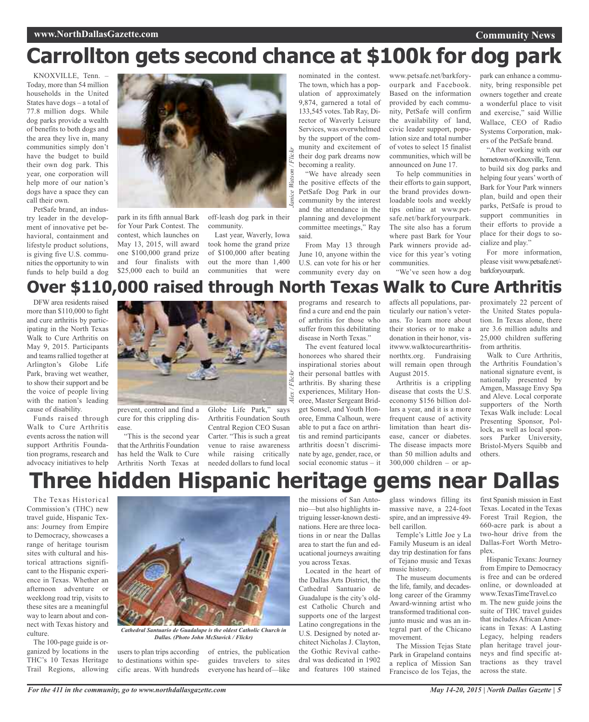### **Community News**

# **Carrollton gets second chance at \$100k for dog park**

KNOXVILLE, Tenn. – Today, more than 54 million households in the United States have dogs – a total of 77.8 million dogs. While dog parks provide a wealth of benefits to both dogs and the area they live in, many communities simply don't have the budget to build their own dog park. This year, one corporation will help more of our nation's dogs have a space they can call their own.

PetSafe brand, an industry leader in the development of innovative pet behavioral, containment and lifestyle product solutions, is giving five U.S. communities the opportunity to win funds to help build a dog



park in its fifth annual Bark for Your Park Contest. The contest, which launches on May 13, 2015, will award one \$100,000 grand prize and four finalists with \$25,000 each to build an

off-leash dog park in their community.

Last year, Waverly, Iowa took home the grand prize of \$100,000 after beating out the more than 1,400 communities that were *Alex / Flickr Janice Watson / Flickr*

nominated in the contest. www.petsafe.net/barkfory-The town, which has a population of approximately 9,874, garnered a total of 133,545 votes. Tab Ray, Director of Waverly Leisure Services, was overwhelmed by the support of the community and excitement of their dog park dreams now becoming a reality.

"We have already seen the positive effects of the PetSafe Dog Park in our community by the interest and the attendance in the planning and development committee meetings," Ray said.

From May 13 through June 10, anyone within the U.S. can vote for his or her community every day on ourpark and Facebook. Based on the information provided by each community, PetSafe will confirm the availability of land, civic leader support, population size and total number of votes to select 15 finalist communities, which will be announced on June 17.

To help communities in their efforts to gain support, the brand provides downloadable tools and weekly tips online at www.petsafe.net/barkforyourpark. The site also has a forum where past Bark for Your Park winners provide advice for this year's voting communities.

"We've seen how a dog

park can enhance a community, bring responsible pet owners together and create a wonderful place to visit and exercise," said Willie Wallace, CEO of Radio Systems Corporation, makers of the PetSafe brand.

"After working with our hometown of Knoxville, Tenn. to build six dog parks and helping four years'worth of Bark for Your Park winners plan, build and open their parks, PetSafe is proud to support communities in their efforts to provide a place for their dogs to socialize and play."

For more information, please visit www.petsafe.net/ barkforyourpark.

### **Over \$110,000 raised through North Texas Walk to Cure Arthritis**

DFW area residents raised more than \$110,000 to fight and cure arthritis by participating in the North Texas Walk to Cure Arthritis on May 9, 2015. Participants and teams rallied together at Arlington's Globe Life Park, braving wet weather, to show their support and be the voice of people living with the nation's leading cause of disability.

Funds raised through Walk to Cure Arthritis events across the nation will support Arthritis Foundation programs, research and advocacy initiatives to help



prevent, control and find a cure for this crippling disease.

"This is the second year that the Arthritis Foundation has held the Walk to Cure Arthritis North Texas at needed dollars to fund local

Globe Life Park," says Arthritis Foundation South Central Region CEO Susan Carter. "This is such a great venue to raise awareness while raising critically

programs and research to find a cure and end the pain of arthritis for those who suffer from this debilitating disease in North Texas."

The event featured local honorees who shared their inspirational stories about their personal battles with arthritis. By sharing these experiences, Military Honoree, Master Sergeant Bridget Sonsel, and Youth Honoree, Emma Calhoun, were able to put a face on arthritis and remind participants arthritis doesn't discriminate by age, gender, race, or social economic status – it

affects all populations, particularly our nation's veterans. To learn more about their stories or to make a donation in their honor, visitwww.walktocurearthritisnorthtx.org. Fundraising will remain open through August 2015.

Arthritis is a crippling disease that costs the U.S. economy \$156 billion dollars a year, and it is a more frequent cause of activity limitation than heart disease, cancer or diabetes. The disease impacts more than 50 million adults and  $300,000$  children – or approximately 22 percent of the United States population. In Texas alone, there are 3.6 million adults and 25,000 children suffering from arthritis.

Walk to Cure Arthritis, the Arthritis Foundation's national signature event, is nationally presented by Amgen, Massage Envy Spa and Aleve. Local corporate supporters of the North Texas Walk include: Local Presenting Sponsor, Pollock, as well as local sponsors Parker University, Bristol-Myers Squibb and others.

# **Three hidden Hispanic heritage gems near Dallas**

 $\ell$ ex

The Texas Historical Commission's (THC) new travel guide, Hispanic Texans: Journey from Empire to Democracy, showcases a range of heritage tourism sites with cultural and historical attractions significant to the Hispanic experience in Texas. Whether an afternoon adventure or weeklong road trip, visits to these sites are a meaningful way to learn about and connect with Texas history and culture.

The 100-page guide is organized by locations in the THC's 10 Texas Heritage Trail Regions, allowing



*Cathedral Santuario de Guadalupe is the oldest Catholic Church in Dallas. (Photo John McStavick / Flickr)*

users to plan trips according to destinations within specific areas. With hundreds of entries, the publication guides travelers to sites everyone has heard of—like

the missions of San Antonio—but also highlights intriguing lesser-known destinations. Here are three locations in or near the Dallas area to start the fun and educational journeys awaiting you across Texas.

Located in the heart of the Dallas Arts District, the Cathedral Santuario de Guadalupe is the city's oldest Catholic Church and supports one of the largest Latino congregations in the U.S. Designed by noted architect Nicholas J. Clayton, the Gothic Revival cathedral was dedicated in 1902 and features 100 stained

glass windows filling its massive nave, a 224-foot spire, and an impressive 49 bell carillon.

Temple's Little Joe y La Family Museum is an ideal day trip destination for fans of Tejano music and Texas music history.

The museum documents the life, family, and decadeslong career of the Grammy Award-winning artist who transformed traditional conjunto music and was an integral part of the Chicano movement.

The Mission Tejas State Park in Grapeland contains a replica of Mission San Francisco de los Tejas, the first Spanish mission in East Texas. Located in the Texas Forest Trail Region, the 660-acre park is about a two-hour drive from the Dallas-Fort Worth Metroplex.

Hispanic Texans: Journey from Empire to Democracy is free and can be ordered online, or downloaded at www.TexasTimeTravel.co m. The new guide joins the suite of THC travel guides that includes African Americans in Texas: A Lasting Legacy, helping readers plan heritage travel journeys and find specific attractions as they travel across the state.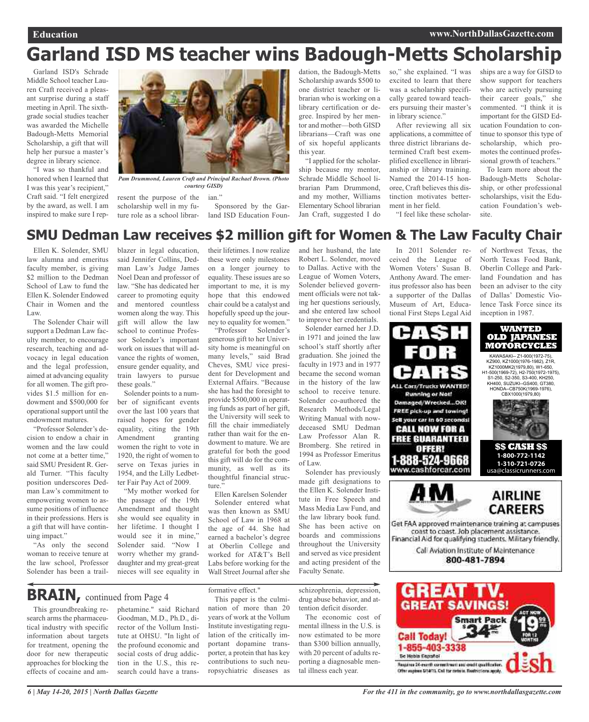## **Garland ISD MS teacher wins Badough-Metts Scholarship**

Garland ISD's Schrade Middle School teacher Lauren Craft received a pleasant surprise during a staff meeting in April. The sixthgrade social studies teacher was awarded the Michelle Badough-Metts Memorial Scholarship, a gift that will help her pursue a master's degree in library science.

"I was so thankful and honored when I learned that I was this year's recipient," Craft said. "I felt energized by the award, as well. I am inspired to make sure I rep-



*Pam Drummond, Lauren Craft and Principal Rachael Brown. (Photo courtesy GISD)*

resent the purpose of the ian."

scholarship well in my future role as a school librar-Sponsored by the Garland ISD Education Foun-

dation, the Badough-Metts Scholarship awards \$500 to one district teacher or librarian who is working on a library certification or degree. Inspired by her mentor and mother—both GISD librarians—Craft was one of six hopeful applicants this year.

"I applied for the scholarship because my mentor, Schrade Middle School librarian Pam Drummond, and my mother, Williams Elementary School librarian Jan Craft, suggested I do

so," she explained. "I was excited to learn that there was a scholarship specifically geared toward teachers pursuing their master's in library science."

After reviewing all six applications, a committee of three district librarians determined Craft best exemplified excellence in librarianship or library training. Named the 2014-15 honoree, Craft believes this distinction motivates betterment in her field.

"I feel like these scholar-

ships are a way for GISD to show support for teachers who are actively pursuing their career goals," she commented. "I think it is important for the GISD Education Foundation to continue to sponsor this type of scholarship, which promotes the continued professional growth of teachers."

To learn more about the Badough-Metts Scholarship, or other professional scholarships, visit the Education Foundation's website.

### **SMU Dedman Law receives \$2 million gift for Women & The Law Faculty Chair**

Ellen K. Solender, SMU law alumna and emeritus faculty member, is giving \$2 million to the Dedman School of Law to fund the Ellen K. Solender Endowed Chair in Women and the Law.

The Solender Chair will support a Dedman Law faculty member, to encourage research, teaching and advocacy in legal education and the legal profession, aimed at advancing equality for all women. The gift provides \$1.5 million for endowment and \$500,000 for operational support until the endowment matures.

"Professor Solender's decision to endow a chair in women and the law could not come at a better time," said SMU President R. Gerald Turner. "This faculty position underscores Dedman Law's commitment to empowering women to assume positions of influence in their professions. Hers is a gift that will have continuing impact."

"As only the second woman to receive tenure at the law school, Professor Solender has been a trail-

This groundbreaking research arms the pharmaceutical industry with specific information about targets for treatment, opening the door for new therapeutic approaches for blocking the effects of cocaine and am-

blazer in legal education, said Jennifer Collins, Dedman Law's Judge James Noel Dean and professor of law. "She has dedicated her career to promoting equity and mentored countless women along the way. This gift will allow the law school to continue Professor Solender's important work on issues that will advance the rights of women, ensure gender equality, and train lawyers to pursue these goals."

Solender points to a number of significant events over the last 100 years that raised hopes for gender equality, citing the 19th Amendment granting women the right to vote in 1920, the right of women to serve on Texas juries in 1954, and the Lilly Ledbetter Fair Pay Act of 2009.

"My mother worked for the passage of the 19th Amendment and thought she would see equality in her lifetime. I thought I would see it in mine," Solender said. "Now I worry whether my granddaughter and my great-great nieces will see equality in

phetamine." said Richard Goodman, M.D., Ph.D., director of the Vollum Institute at OHSU. "In light of the profound economic and social costs of drug addiction in the U.S., this research could have a trans-

their lifetimes. I now realize these were only milestones on a longer journey to equality. These issues are so important to me, it is my hope that this endowed chair could be a catalyst and hopefully speed up the journey to equality for women."

"Professor Solender's generous gift to her University home is meaningful on many levels," said Brad Cheves, SMU vice president for Development and External Affairs. "Because she has had the foresight to provide \$500,000 in operating funds as part of her gift, the University will seek to fill the chair immediately rather than wait for the endowment to mature. We are grateful for both the good this gift will do for the community, as well as its thoughtful financial structure.'

Ellen Karelsen Solender Solender entered what was then known as SMU School of Law in 1968 at the age of 44. She had earned a bachelor's degree at Oberlin College and worked for AT&T's Bell Labs before working for the Wall Street Journal after she

This paper is the culmination of more than 20 years of work at the Vollum Institute investigating regulation of the critically important dopamine transporter, a protein that has key contributions to such neuropsychiatric diseases as

formative effect."

and her husband, the late Robert L. Solender, moved to Dallas. Active with the League of Women Voters, Solender believed government officials were not taking her questions seriously, and she entered law school to improve her credentials.

Solender earned her J.D. in 1971 and joined the law school's staff shortly after graduation. She joined the faculty in 1973 and in 1977 became the second woman in the history of the law school to receive tenure. Solender co-authored the Research Methods/Legal Writing Manual with nowdeceased SMU Dedman Law Professor Alan R. Bromberg. She retired in 1994 as Professor Emeritus of Law.

Solender has previously made gift designations to the Ellen K. Solender Institute in Free Speech and Mass Media Law Fund, and the law library book fund. She has been active on boards and commissions throughout the University and served as vice president and acting president of the Faculty Senate.

schizophrenia, depression, drug abuse behavior, and attention deficit disorder.

The economic cost of mental illness in the U.S. is now estimated to be more than \$300 billion annually, with 20 percent of adults reporting a diagnosable mental illness each year.

In 2011 Solender received the League of Women Voters' Susan B. Anthony Award. The emeritus professor also has been a supporter of the Dallas Museum of Art, Educational First Steps Legal Aid

of Northwest Texas, the North Texas Food Bank, Oberlin College and Parkland Foundation and has been an adviser to the city of Dallas' Domestic Violence Task Force since its inception in 1987.





800-481-7894

**GREAT SAVINGS! Smart Pack Call Today!** 1-855-403-3338 Se Habia Español Requires 54-yearth conseil rest and credit qualification. Other explose 6/14/15. Call for details. Restrictions.apply

**BRAIN, continued from Page 4**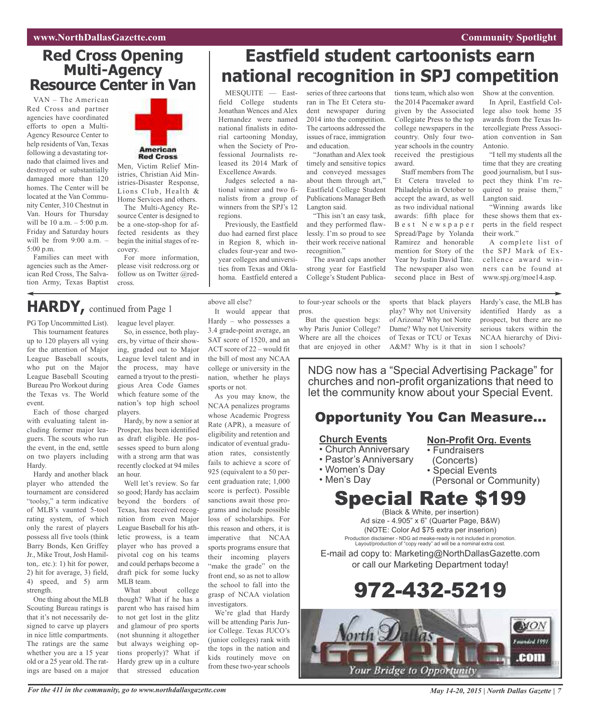### **Red Cross Opening Multi-Agency Resource Center in Van**

VAN – The American Red Cross and partner agencies have coordinated efforts to open a Multi-Agency Resource Center to help residents of Van, Texas following a devastating tornado that claimed lives and destroyed or substantially damaged more than 120 homes. The Center will be located at the Van Community Center, 310 Chestnut in Van. Hours for Thursday will be 10 a.m. – 5:00 p.m. Friday and Saturday hours will be from 9:00 a.m. –  $5:00 \text{ n m}$ 

Families can meet with agencies such as the American Red Cross, The Salvation Army, Texas Baptist



Men, Victim Relief Ministries, Christian Aid Ministries-Disaster Response, Lions Club, Health & Home Services and others.

The Multi-Agency Resource Center is designed to be a one-stop-shop for affected residents as they begin the initial stages of recovery.

For more information, please visit redcross.org or follow us on Twitter @redcross.

## **HARDY,** continued from Page <sup>1</sup>

PG Top Uncommitted List). This tournament features up to 120 players all vying for the attention of Major League Baseball scouts, who put on the Major League Baseball Scouting Bureau Pro Workout during the Texas vs. The World event.

Each of those charged with evaluating talent including former major leaguers. The scouts who run the event, in the end, settle on two players including Hardy.

Hardy and another black player who attended the tournament are considered "toolsy," a term indicative of MLB's vaunted 5-tool rating system, of which only the rarest of players possess all five tools (think Barry Bonds, Ken Griffey Jr., Mike Trout, Josh Hamilton,. etc.): 1) hit for power, 2) hit for average, 3) field, 4) speed, and 5) arm strength.

One thing about the MLB Scouting Bureau ratings is that it's not necessarily designed to carve up players in nice little compartments. The ratings are the same whether you are a 15 year old or a 25 year old. The ratings are based on a major league level player.

So, in essence, both players, by virtue of their showing, graded out to Major League level talent and in the process, may have earned a tryout to the prestigious Area Code Games which feature some of the nation's top high school players.

Hardy, by now a senior at Prosper, has been identified as draft eligible. He possesses speed to burn along with a strong arm that was recently clocked at 94 miles an hour.

Well let's review. So far so good; Hardy has acclaim beyond the borders of Texas, has received recognition from even Major League Baseball for his athletic prowess, is a team player who has proved a pivotal cog on his teams and could perhaps become a draft pick for some lucky MLB team.

What about college though? What if he has a parent who has raised him to not get lost in the glitz and glamour of pro sports (not shunning it altogether but always weighing options properly)? What if Hardy grew up in a culture that stressed education

## **Eastfield student cartoonists earn national recognition in SPJ competition**

MESQUITE — Eastfield College students Jonathan Wences and Alex Hernandez were named national finalists in editorial cartooning Monday, when the Society of Professional Journalists released its 2014 Mark of Excellence Awards.

Judges selected a national winner and two finalists from a group of winners from the SPJ's 12 regions.

Previously, the Eastfield duo had earned first place in Region 8, which includes four-year and twoyear colleges and universities from Texas and Oklahoma. Eastfield entered a

It would appear that Hardy – who possesses a 3.4 grade-point average, an SAT score of 1520, and an ACT score of 22 – would fit the bill of most any NCAA college or university in the nation, whether he plays

As you may know, the NCAA penalizes programs whose Academic Progress Rate (APR), a measure of eligibility and retention and indicator of eventual graduation rates, consistently fails to achieve a score of 925 (equivalent to a 50 percent graduation rate; 1,000 score is perfect). Possible sanctions await those programs and include possible loss of scholarships. For this reason and others, it is imperative that NCAA sports programs ensure that their incoming players "make the grade" on the front end, so as not to allow the school to fall into the grasp of NCAA violation

above all else?

sports or not.

investigators.

We're glad that Hardy will be attending Paris Junior College. Texas JUCO's (junior colleges) rank with the tops in the nation and kids routinely move on from these two-year schools

ran in The Et Cetera student newspaper during 2014 into the competition. The cartoons addressed the issues of race, immigration and education.

"Jonathan and Alex took timely and sensitive topics and conveyed messages about them through art," Eastfield College Student Publications Manager Beth Langton said.

"This isn't an easy task, and they performed flawlessly. I'm so proud to see their work receive national recognition."

The award caps another strong year for Eastfield College's Student Publica-

pros.

series of three cartoons that tions team, which also won the 2014 Pacemaker award given by the Associated Collegiate Press to the top college newspapers in the country. Only four twoyear schools in the country received the prestigious award.

> Staff members from The Et Cetera traveled to Philadelphia in October to accept the award, as well as two individual national awards: fifth place for B e s t N e w s p a p e r Spread/Page by Yolanda Ramirez and honorable mention for Story of the Year by Justin David Tate. The newspaper also won second place in Best of

Show at the convention.

In April, Eastfield College also took home 35 awards from the Texas Intercollegiate Press Association convention in San Antonio.

"I tell my students all the time that they are creating good journalism, but I suspect they think I'm required to praise them," Langton said.

"Winning awards like these shows them that experts in the field respect their work."

A complete list of the SPJ Mark of Excellence award winners can be found at www.spj.org/moe14.asp.

to four-year schools or the But the question begs: why Paris Junior College? Where are all the choices that are enjoyed in other

sports that black players play? Why not University of Arizona? Why not Notre Dame? Why not University of Texas or TCU or Texas A&M? Why is it that in

Hardy's case, the MLB has identified Hardy as a prospect, but there are no serious takers within the NCAA hierarchy of Division 1 schools?

NDG now has a "Special Advertising Package" for churches and non-profit organizations that need to let the community know about your Special Event.

### Opportunity You Can Measure...

### **Church Events**

• Church Anniversary

- Pastor's Anniversary
- Women's Day
- Men's Day
- **Non-Profit Org. Events** • Fundraisers (Concerts)
- - Special Events (Personal or Community)

## Special Rate \$199

(Black & White, per insertion) Ad size - 4.905" x 6" (Quarter Page, B&W) (NOTE: Color Ad \$75 extra per inserion)

Production disclaimer - NDG ad meake-ready is not included in promotion. Layout/production of "copy ready" ad will be a nominal extra cost. E-mail ad copy to: Marketing@NorthDallasGazette.com or call our Marketing Department today!

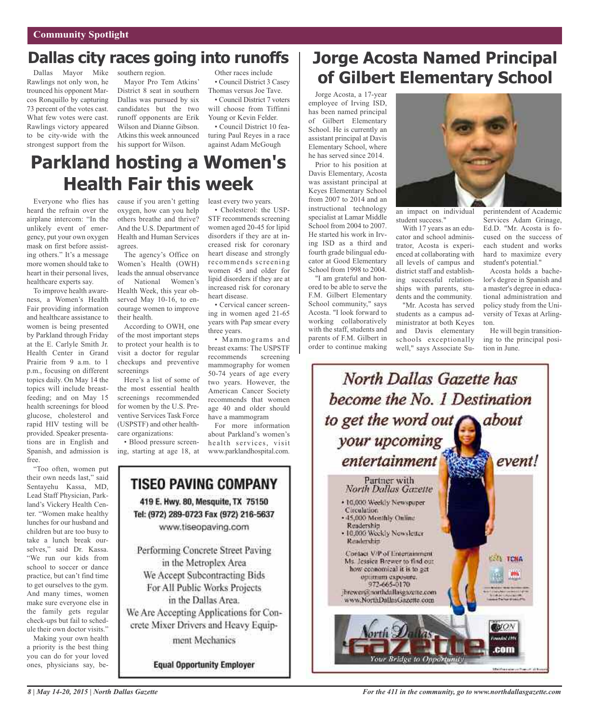### **Dallas city races going into runoffs**

Dallas Mayor Mike Rawlings not only won, he trounced his opponent Marcos Ronquillo by capturing 73 percent of the votes cast. What few votes were cast. Rawlings victory appeared to be city-wide with the strongest support from the

southern region. Mayor Pro Tem Atkins' District 8 seat in southern Dallas was pursued by six candidates but the two runoff opponents are Erik Wilson and Dianne Gibson. Atkins this week announced his support for Wilson.

Other races include • Council District 3 Casey Thomas versus Joe Tave.

• Council District 7 voters will choose from Tiffinni Young or Kevin Felder.

• Council District 10 featuring Paul Reyes in a race against Adam McGough

## **Parkland hosting a Women's Health Fair this week**

Everyone who flies has heard the refrain over the airplane intercom: "In the unlikely event of emergency, put your own oxygen mask on first before assisting others." It's a message more women should take to heart in their personal lives, healthcare experts say.

To improve health awareness, a Women's Health Fair providing information and healthcare assistance to women is being presented by Parkland through Friday at the E. Carlyle Smith Jr. Health Center in Grand Prairie from 9 a.m. to 1 p.m., focusing on different topics daily. On May 14 the topics will include breastfeeding; and on May 15 health screenings for blood glucose, cholesterol and rapid HIV testing will be provided. Speaker presentations are in English and Spanish, and admission is free.

"Too often, women put their own needs last," said Sentayehu Kassa, MD, Lead Staff Physician, Parkland's Vickery Health Center. "Women make healthy lunches for our husband and children but are too busy to take a lunch break ourselves," said Dr. Kassa. "We run our kids from school to soccer or dance practice, but can't find time to get ourselves to the gym. And many times, women make sure everyone else in the family gets regular check-ups but fail to schedule their own doctor visits."

Making your own health a priority is the best thing you can do for your loved ones, physicians say, because if you aren't getting oxygen, how can you help others breathe and thrive? And the U.S. Department of Health and Human Services agrees.

The agency's Office on Women's Health (OWH) leads the annual observance of National Women's Health Week, this year observed May 10-16, to encourage women to improve their health.

According to OWH, one of the most important steps to protect your health is to visit a doctor for regular checkups and preventive screenings

Here's a list of some of the most essential health screenings recommended for women by the U.S. Preventive Services Task Force (USPSTF) and other healthcare organizations:

• Blood pressure screening, starting at age 18, at

• Cholesterol: the USP-STF recommends screening women aged 20-45 for lipid disorders if they are at increased risk for coronary heart disease and strongly recommends screening women 45 and older for lipid disorders if they are at increased risk for coronary heart disease.

least every two years.

• Cervical cancer screening in women aged 21-65 years with Pap smear every three years.

• Mammograms and breast exams: The USPSTF<br>recommends screening recommends mammography for women 50-74 years of age every two years. However, the American Cancer Society recommends that women age 40 and older should have a mammogram

For more information about Parkland's women's health services, visit www.parklandhospital.com.

### TISEO PAVING COMPANY 419 E. Hwy. 80, Mesquite, TX 75150 Tel: (972) 289-0723 Fax (972) 216-5637 www.tiseopaving.com Performing Concrete Street Paving in the Metroplex Area We Accept Subcontracting Bids For All Public Works Projects in the Dallas Area.

We Are Accepting Applications for Concrete Mixer Drivers and Heavy Equipment Mechanics

**Equal Opportunity Employer** 

## **Jorge Acosta Named Principal of Gilbert Elementary School**

Jorge Acosta, a 17-year employee of Irving ISD, has been named principal of Gilbert Elementary School. He is currently an assistant principal at Davis Elementary School, where he has served since 2014.

Prior to his position at Davis Elementary, Acosta was assistant principal at Keyes Elementary School from 2007 to 2014 and an instructional technology specialist at Lamar Middle School from 2004 to 2007. He started his work in Irving ISD as a third and fourth grade bilingual educator at Good Elementary School from 1998 to 2004.

"I am grateful and honored to be able to serve the F.M. Gilbert Elementary School community," says Acosta. "I look forward to working collaboratively with the staff, students and parents of F.M. Gilbert in order to continue making



an impact on individual

student success."

"Mr. Acosta has served students as a campus administrator at both Keyes and Davis elementary schools exceptionally well," says Associate Superintendent of Academic Services Adam Grinage, Ed.D. "Mr. Acosta is focused on the success of each student and works hard to maximize every student's potential."

Acosta holds a bachelor's degree in Spanish and a master's degree in educational administration and policy study from the University of Texas at Arlington.

He will begin transitioning to the principal position in June.



*For the 411 in the community, go to www.northdallasgazette.com*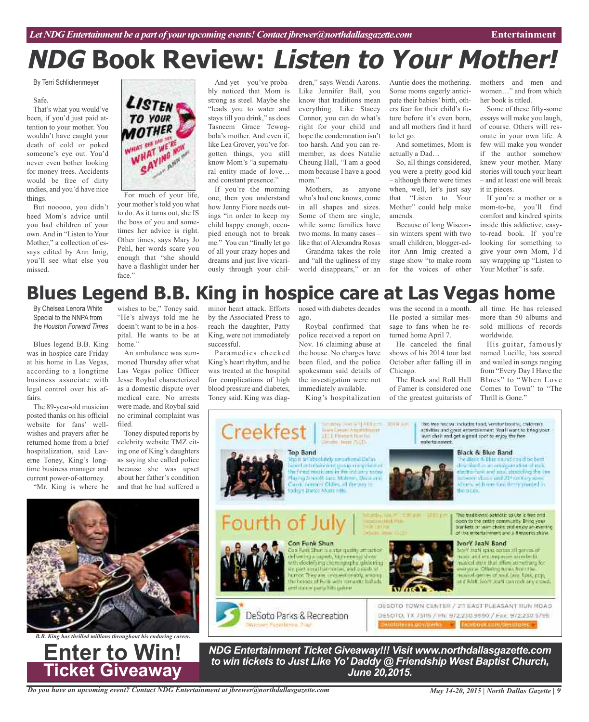# **NDG Book Review: Listen to Your Mother!**

By Terri Schlichenmeyer

#### Safe.

That's what you would've been, if you'd just paid attention to your mother. You wouldn't have caught your death of cold or poked someone's eye out. You'd never even bother looking for money trees. Accidents would be free of dirty undies, and you'd have nice things.

But nooooo, you didn't heed Mom's advice until you had children of your own. And in "Listen to Your Mother," a collection of essays edited by Ann Imig, you'll see what else you missed.



For much of your life, your mother's told you what to do. As it turns out, she IS the boss of you and sometimes her advice is right. Other times, says Mary Jo Pehl, her words scare you enough that "she should have a flashlight under her face."

And yet – you've probably noticed that Mom is strong as steel. Maybe she "leads you to water and stays till you drink," as does Tasneem Grace Tewogbola's mother. And even if, like Lea Grover, you've forgotten things, you still know Mom's "a supernatural entity made of love… and constant presence."

If you're the moming one, then you understand how Jenny Fiore needs outings "in order to keep my child happy enough, occupied enough not to break me." You can "finally let go of all your crazy hopes and dreams and just live vicariously through your children," says Wendi Aarons. Like Jennifer Ball, you know that traditions mean everything. Like Stacey Connor, you can do what's right for your child and hope the condemnation isn't too harsh. And you can remember, as does Natalie Cheung Hall, "I am a good mom because I have a good mom."

Mothers, as anyone who's had one knows, come in all shapes and sizes. Some of them are single, while some families have two moms. In many cases – like that of Alexandra Rosas – Grandma takes the role and "all the ugliness of my world disappears," or an

Auntie does the mothering. Some moms eagerly anticipate their babies' birth, others fear for their child's future before it's even born, and all mothers find it hard to let go.

And sometimes, Mom is actually a Dad…

So, all things considered, you were a pretty good kid – although there were times when, well, let's just say that "Listen to Your Mother" could help make amends.

Because of long Wisconsin winters spent with two small children, blogger-editor Ann Imig created a stage show "to make room for the voices of other

mothers and men and women…" and from which her book is titled.

Some of these fifty-some essays will make you laugh, of course. Others will resonate in your own life. A few will make you wonder if the author somehow knew your mother. Many stories will touch your heart – and at least one will break it in pieces.

If you're a mother or a mom-to-be, you'll find comfort and kindred spirits inside this addictive, easyto-read book. If you're looking for something to give your own Mom, I'd say wrapping up "Listen to Your Mother" is safe.

## **Blues Legend B.B. King in hospice care at Las Vegas home**

By Chelsea Lenora White Special to the NNPA from the *Houston Forward Times*

Blues legend B.B. King was in hospice care Friday at his home in Las Vegas, according to a longtime business associate with legal control over his affairs.

The 89-year-old musician posted thanks on his official website for fans' wellwishes and prayers after he returned home from a brief hospitalization, said Laverne Toney, King's longtime business manager and current power-of-attorney.

"Mr. King is where he

**Enter to Win!**

*B.B. King has thrilled millions throughout his enduring career.*

**Ticket Giveaway**

wishes to be," Toney said. "He's always told me he doesn't want to be in a hospital. He wants to be at home."

An ambulance was summoned Thursday after what Las Vegas police Officer Jesse Roybal characterized as a domestic dispute over medical care. No arrests were made, and Roybal said no criminal complaint was filed.

Toney disputed reports by celebrity website TMZ citing one of King's daughters as saying she called police because she was upset about her father's condition and that he had suffered a

minor heart attack. Efforts by the Associated Press to reach the daughter, Patty King, were not immediately successful.

Paramedics checked King's heart rhythm, and he was treated at the hospital for complications of high blood pressure and diabetes, Toney said. King was diag-

nosed with diabetes decades ago.

Roybal confirmed that police received a report on Nov. 16 claiming abuse at the house. No charges have been filed, and the police spokesman said details of the investigation were not immediately available.

King's hospitalization

was the second in a month. He posted a similar message to fans when he returned home April 7.

He canceled the final shows of his 2014 tour last October after falling ill in Chicago.

The Rock and Roll Hall of Famer is considered one of the greatest guitarists of all time. He has released more than 50 albums and sold millions of records worldwide.

His guitar, famously named Lucille, has soared and wailed in songs ranging from "Every Day I Have the Blues" to "When Love Comes to Town" to "The Thrill is Gone."



*NDG Entertainment Ticket Giveaway!!! Visit www.northdallasgazette.com to win tickets to Just Like Yo' Daddy @ Friendship West Baptist Church, June 20,2015.*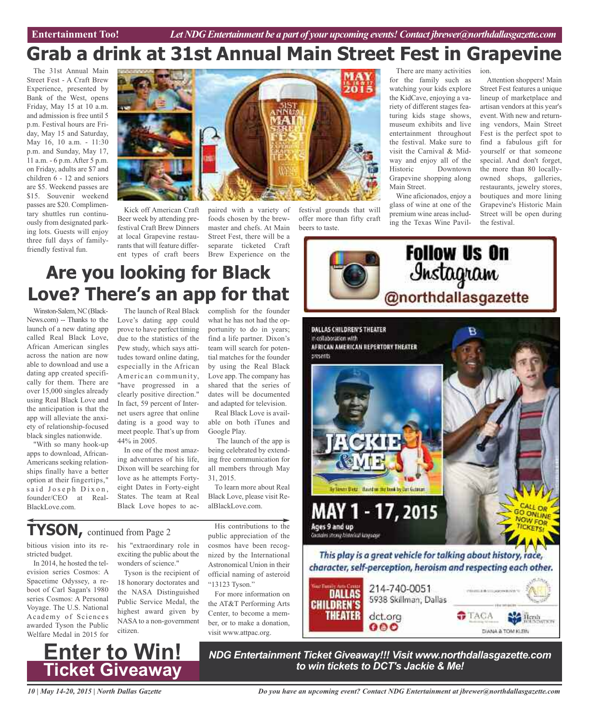## **Grab a drink at 31st Annual Main Street Fest in Grapevine**

The 31st Annual Main Street Fest - A Craft Brew Experience, presented by Bank of the West, opens Friday, May 15 at 10 a.m. and admission is free until 5 p.m. Festival hours are Friday, May 15 and Saturday, May 16, 10 a.m. - 11:30 p.m. and Sunday, May 17, 11 a.m. - 6 p.m. After 5 p.m. on Friday, adults are \$7 and children 6 - 12 and seniors are \$5. Weekend passes are \$15. Souvenir weekend passes are \$20. Complimentary shuttles run continuously from designated parking lots. Guests will enjoy three full days of familyfriendly festival fun.



Kick off American Craft Beer week by attending prefestival Craft Brew Dinners at local Grapevine restaurants that will feature different types of craft beers

paired with a variety of foods chosen by the brewmaster and chefs. At Main Street Fest, there will be a separate ticketed Craft Brew Experience on the

festival grounds that will offer more than fifty craft beers to taste.

There are many activities for the family such as watching your kids explore the KidCave, enjoying a variety of different stages featuring kids stage shows, museum exhibits and live entertainment throughout the festival. Make sure to visit the Carnival & Midway and enjoy all of the Historic Downtown Grapevine shopping along Main Street.

Wine aficionados, enjoy a glass of wine at one of the premium wine areas including the Texas Wine Pavil-

Attention shoppers! Main Street Fest features a unique lineup of marketplace and artisan vendors at this year's event. With new and returning vendors, Main Street Fest is the perfect spot to find a fabulous gift for yourself or that someone special. And don't forget, the more than 80 locallyowned shops, galleries, restaurants, jewelry stores, boutiques and more lining Grapevine's Historic Main Street will be open during the festival.

ion.

## **Are you looking for Black Love? There's an app for that**

Winston-Salem, NC (Black-News.com) -- Thanks to the launch of a new dating app called Real Black Love, African American singles across the nation are now able to download and use a dating app created specifically for them. There are over 15,000 singles already using Real Black Love and the anticipation is that the app will alleviate the anxiety of relationship-focused black singles nationwide.

"With so many hook-up apps to download, African-Americans seeking relationships finally have a better option at their fingertips," said Joseph Dixon, founder/CEO at Real-BlackLove.com.

The launch of Real Black Love's dating app could prove to have perfect timing due to the statistics of the Pew study, which says attitudes toward online dating, especially in the African American community, "have progressed in a clearly positive direction." In fact, 59 percent of Internet users agree that online dating is a good way to meet people. That's up from 44% in 2005.

In one of the most amazing adventures of his life, Dixon will be searching for love as he attempts Fortyeight Dates in Forty-eight States. The team at Real Black Love hopes to accomplish for the founder what he has not had the opportunity to do in years; find a life partner. Dixon's team will search for potential matches for the founder by using the Real Black Love app. The company has shared that the series of dates will be documented and adapted for television.

Real Black Love is available on both iTunes and Google Play.

The launch of the app is being celebrated by extending free communication for all members through May 31, 2015.

To learn more about Real Black Love, please visit RealBlackLove.com.

### **TYSON,** continued from Page <sup>2</sup>

bitious vision into its restricted budget.

In 2014, he hosted the television series Cosmos: A Spacetime Odyssey, a reboot of Carl Sagan's 1980 series Cosmos: A Personal Voyage. The U.S. National Academy of Sciences awarded Tyson the Public Welfare Medal in 2015 for his "extraordinary role in exciting the public about the wonders of science."

Tyson is the recipient of 18 honorary doctorates and the NASA Distinguished Public Service Medal, the highest award given by NASA to a non-government citizen.

His contributions to the public appreciation of the cosmos have been recognized by the International Astronomical Union in their official naming of asteroid "13123 Tyson."

For more information on the AT&T Performing Arts Center, to become a member, or to make a donation, visit www.attpac.org.



*NDG Entertainment Ticket Giveaway!!! Visit www.northdallasgazette.com to win tickets to DCT's Jackie & Me!*

*10 | May 14-20, 2015 | North Dallas Gazette*

**Enter to Win!**

**Ticket Giveaway**

*Do you have an upcoming event? Contact NDG Entertainment at jbrewer@northdallasgazette.com*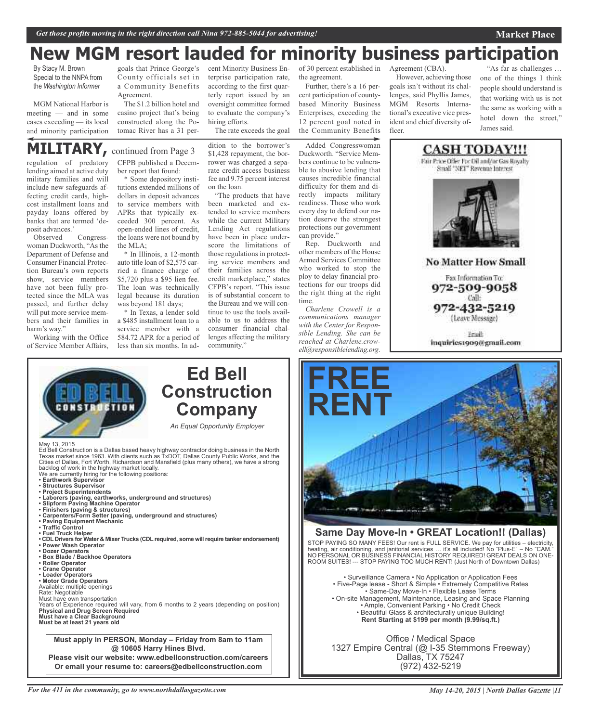### cent Minority Business En-**New MGM resort lauded for minority business participation**

By Stacy M. Brown Special to the NNPA from the *Washington Informer*

MGM National Harbor is meeting — and in some cases exceeding — its local and minority participation

goals that Prince George's County officials set in a Community Benefits Agreement.

The \$1.2 billion hotel and casino project that's being constructed along the Potomac River has a 31 per-

### **MILITARY,** continued from Page <sup>3</sup>

regulation of predatory lending aimed at active duty military families and will include new safeguards affecting credit cards, highcost installment loans and payday loans offered by banks that are termed 'deposit advances.'

Observed Congresswoman Duckworth, "As the Department of Defense and Consumer Financial Protection Bureau's own reports show, service members have not been fully protected since the MLA was passed, and further delay will put more service members and their families in harm's way."

Working with the Office of Service Member Affairs,

CFPB published a December report that found:

\* Some depository institutions extended millions of dollars in deposit advances to service members with APRs that typically exceeded 300 percent. As open-ended lines of credit, the loans were not bound by the MLA;

\* In Illinois, a 12-month auto title loan of \$2,575 carried a finance charge of \$5,720 plus a \$95 lien fee. The loan was technically legal because its duration was beyond 181 days:

\* In Texas, a lender sold a \$485 installment loan to a service member with a 584.72 APR for a period of less than six months. In ad-

dition to the borrower's \$1,428 repayment, the borrower was charged a separate credit access business fee and 9.75 percent interest on the loan.

The rate exceeds the goal

terprise participation rate, according to the first quarterly report issued by an oversight committee formed to evaluate the company's

hiring efforts.

"The products that have been marketed and extended to service members while the current Military Lending Act regulations have been in place underscore the limitations of those regulations in protecting service members and their families across the credit marketplace," states CFPB's report. "This issue is of substantial concern to the Bureau and we will continue to use the tools available to us to address the consumer financial challenges affecting the military community."

of 30 percent established in the agreement.

Further, there's a 16 percent participation of countybased Minority Business Enterprises, exceeding the 12 percent goal noted in the Community Benefits

Added Congresswoman Duckworth. "Service Members continue to be vulnerable to abusive lending that causes incredible financial difficulty for them and directly impacts military readiness. Those who work every day to defend our nation deserve the strongest protections our government can provide."

Rep. Duckworth and other members of the House Armed Services Committee who worked to stop the ploy to delay financial protections for our troops did the right thing at the right time.

*Charlene Crowell is a communications manager with the Center for Responsible Lending. She can be reached at Charlene.crowell@responsiblelending.org.*

Agreement (CBA).

However, achieving those goals isn't without its challenges, said Phyllis James, MGM Resorts International's executive vice president and chief diversity officer.

"As far as challenges … one of the things I think people should understand is that working with us is not the same as working with a hotel down the street," James said.

**Market Place**



**No Matter How Small** 

Fax Information To: 972-509-9058 Call:

972-432-5219 (Leave Message)

Friail: inquiries1909@gmail.com



**FREE RENT**

### **Same Day Move-In • GREAT Location!! (Dallas)**

STOP PAYING SO MANY FEES! Our rent is FULL SERVICE. We pay for utilities – electricity, heating, air conditioning, and janitorial services … it's all included! No "Plus-E" – No "CAM." NO PERSONAL OR BUSINESS FINANCIAL HISTORY REQUIRED! GREAT DEALS ON ONE-ROOM SUITES! --- STOP PAYING TOO MUCH RENT! (Just North of Downtown Dallas)

• Surveillance Camera • No Application or Application Fees • Five-Page lease - Short & Simple • Extremely Competitive Rates • Same-Day Move-In • Flexible Lease Terms • On-site Management, Maintenance, Leasing and Space Planning • Ample, Convenient Parking • No Credit Check • Beautiful Glass & architecturally unique Building! **Rent Starting at \$199 per month (9.99/sq.ft.)**

Office / Medical Space 1327 Empire Central (@ I-35 Stemmons Freeway) Dallas, TX 75247 (972) 432-5219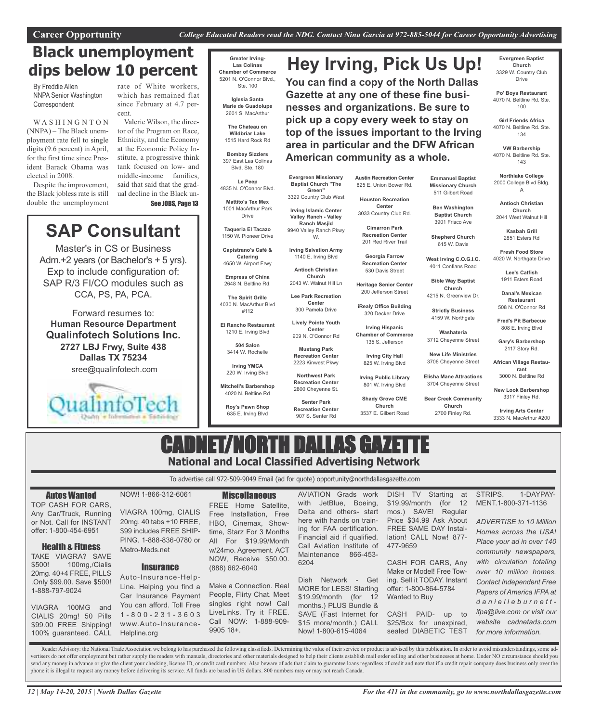**Hey Irving, Pick Us Up!**

**You can find a copy of the North Dallas Gazette at any one of these fine businesses and organizations. Be sure to pick up a copy every week to stay on top of the issues important to the Irving area in particular and the DFW African**

### **Black unemployment dips below 10 percent**

By Freddie Allen NNPA Senior Washington Correspondent

WASHINGNTON (NNPA) – The Black unemployment rate fell to single digits (9.6 percent) in April, for the first time since President Barack Obama was elected in 2008.

Despite the improvement, the Black jobless rate is still double the unemployment

rate of White workers, which has remained flat since February at 4.7 percent.

Valerie Wilson, the director of the Program on Race, Ethnicity, and the Economy at the Economic Policy Institute, a progressive think tank focused on low- and middle-income families, said that said that the gradual decline in the Black un-See JOBS, Page 13

## **SAP Consultant**

Master's in CS or Business Adm.+2 years (or Bachelor's + 5 yrs). Exp to include configuration of: SAP R/3 FI/CO modules such as CCA, PS, PA, PCA.

Forward resumes to: **Human Resource Department Qualinfotech Solutions Inc. 2727 LBJ Frwy, Suite 438 Dallas TX 75234** sree@qualinfotech.com





**Iglesia Santa Marie de Guadolupe**

**The Chateau on Wildbriar Lake** 1515 Hard Rock Rd

397 East Las Colinas Blvd, Ste. 180

4835 N. O'Connor Blvd.

Drive

1150 W. Pioneer Drive **Capistrano's Café &**

4650 W. Airport Frwy

2648 N. Beltline Rd.

**The Spirit Grille** 4030 N. MacArthur Blvd #112

**El Rancho Restaurant**

**504 Salon** 3414 W. Rochelle

**Irving YMCA**

**Mitchell's Barbershop** 4020 N. Beltline Rd

**Roy's Pawn Shop** 635 E. Irving Blvd

Ste. 100

2601 S. MacArthur

**Bombay Sizzlers**

**Le Peep**

**Evergreen Missionary Baptist Church "The Green"** 3329 Country Club West **Irving Islamic Center Valley Ranch - Valley Ranch Masjid** 9940 Valley Ranch Pkwy W.

**Church**

**Lee Park Recreation Center** 300 Pamela Drive

**Center**

**Mustang Park**

**Northwest Park Recreation Center** 2800 Cheyenne St. **Senter Park Recreation Center** 907 S. Senter Rd

**Mattito's Tex Mex** 1001 MacArthur Park

**Taqueria El Tacazo**

**Catering**

**Empress of China**

1210 E. Irving Blvd **Lively Pointe Youth** 909 N. O'Connor Rd

220 W. Irving Blvd

**Austin Recreation Center** 825 E. Union Bower Rd.

**American community as a whole.**

**Houston Recreation Center** 3033 Country Club Rd.

**Cimarron Park Recreation Center**

201 Red River Trail

**Heritage Senior Center** 200 Jefferson Street

**iRealy Office Building** 320 Decker Drive

**Irving Hispanic**

**Irving City Hall**

801 W. Irving Blvd

**Church** 3537 E. Gilbert Road

**Evergreen Baptist Church** 3329 W. Country Club Drive

**Po' Boys Restaurant** 4070 N. Beltline Rd. Ste. 100

**Girl Friends Africa** 4070 N. Beltline Rd. Ste. 134

**VW Barbership** 4070 N. Beltline Rd. Ste. 143

**Northlake College** 2000 College Blvd Bldg. A

**Emmanuel Baptist Missionary Church** 511 Gilbert Road **Ben Washington Baptist Church** 3901 Frisco Ave **Shepherd Church** 615 W. Davis **West Irving C.O.G.I.C.** 4011 Conflans Road **Bible Way Baptist Church** 4215 N. Greenview Dr.

**Strictly Business** 4159 W. Northgate **Washateria** 3712 Cheyenne Street **New Life Ministries** 3706 Cheyenne Street **Elisha Mane Attractions** 3704 Cheyenne Street **Bear Creek Community Church** 2700 Finley Rd.

**Antioch Christian Church** 2041 West Walnut Hill

**Kasbah Grill** 2851 Esters Rd

**Fresh Food Store** 4020 W. Northgate Drive

> **Lee's Catfish** 1911 Esters Road

**Danal's Mexican Restaurant** 508 N. O'Connor Rd

**Fred's Pit Barbecue** 808 E. Irving Blvd

**Gary's Barbershop** 2117 Story Rd.

**African Village Restaurant**

3000 N. Beltline Rd

**New Look Barbershop** 3317 Finley Rd.

**Irving Arts Center** 3333 N. MacArthur #200

### CADNET/NORTH DALLAS GAZETTE **National and Local Classified Advertising Network**

To advertise call 972-509-9049 Email (ad for quote) opportunity@northdallasgazette.com

### Autos Wanted

TOP CASH FOR CARS, Any Car/Truck, Running or Not. Call for INSTANT offer: 1-800-454-6951

### Health & Fitness TAKE VIAGRA? SAVE \$500! 100mg,/Cialis 20mg. 40+4 FREE, PILLS

.Only \$99.00. Save \$500! 1-888-797-9024

VIAGRA 100MG and CIALIS 20mg! 50 Pills \$99.00 FREE Shipping! 100% guaranteed. CALL VIAGRA 100mg, CIALIS 20mg. 40 tabs +10 FREE, \$99 includes FREE SHIP-PING. 1-888-836-0780 or Metro-Meds.net

NOW! 1-866-312-6061

### **Insurance**

Auto-Insurance-Help-Line. Helping you find a Car Insurance Payment You can afford. Toll Free 1 - 8 0 0 - 2 3 1 - 3 6 0 3 www.Auto-Insurance-Helpline.org

**Miscellaneous** FREE Home Satellite, Free Installation, Free HBO, Cinemax, Showtime, Starz For 3 Months All For \$19.99/Month w/24mo. Agreement. ACT NOW, Receive \$50.00. (888) 662-6040

Make a Connection. Real People, Flirty Chat. Meet singles right now! Call LiveLinks. Try it FREE. Call NOW: 1-888-909- 9905 18+.

AVIATION Grads work with JetBlue, Boeing, Delta and others- start here with hands on training for FAA certification. Financial aid if qualified. Call Aviation Institute of Maintenance 866-453- 6204

Dish Network - Get MORE for LESS! Starting \$19.99/month (for 12 months.) PLUS Bundle & SAVE (Fast Internet for \$15 more/month.) CALL Now! 1-800-615-4064

DISH TV Starting at \$19.99/month (for 12 mos.) SAVE! Regular Price \$34.99 Ask About FREE SAME DAY Installation! CALL Now! 877- 477-9659

CASH FOR CARS, Any Make or Model! Free Towing. Sell it TODAY. Instant offer: 1-800-864-5784 Wanted to Buy

CASH PAID- up to \$25/Box for unexpired, sealed DIABETIC TEST STRIPS 1-DAYPAY-MENT.1-800-371-1136

*ADVERTISE to 10 Million Homes across the USA! Place your ad in over 140 community newspapers, with circulation totaling over 10 million homes. Contact Independent Free Papers of America IFPA at d a n i e l l e b u r n e t t ifpa@live.com or visit our website cadnetads.com for more information.*

Reader Advisory: the National Trade Association we belong to has purchased the following classifieds. Determining the value of their service or product is advised by this publication. In order to avoid misunderstandings, s vertisers do not offer employment but rather supply the readers with manuals, directories and other materials designed to help their clients establish mail order selling and other businesses at home. Under NO circumstance send any money in advance or give the client your checking, license ID, or credit card numbers. Also beware of ads that claim to guarantee loans regardless of credit and note that if a credit repair company does business o phone it is illegal to request any money before delivering its service. All funds are based in US dollars. 800 numbers may or may not reach Canada.

#### **Irving Salvation Army** 1140 E. Irving Blvd **Antioch Christian** 2043 W. Walnut Hill Ln **Georgia Farrow Recreation Center** 530 Davis Street

**Chamber of Commerce** 135 S. Jefferson

**Recreation Center** 2223 Kinwest Pkwy 825 W. Irving Blvd

**Irving Public Library**

**Shady Grove CME**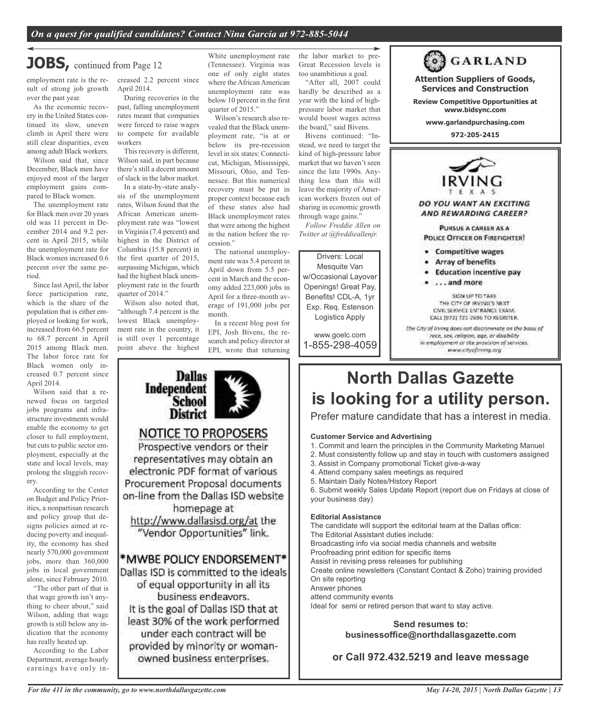## **JOBS,** continued from Page <sup>12</sup>

employment rate is the result of strong job growth over the past year.

As the economic recovery in the United States continued its slow, uneven climb in April there were still clear disparities, even among adult Black workers.

Wilson said that, since December, Black men have enjoyed most of the larger employment gains compared to Black women.

The unemployment rate for Black men over 20 years old was 11 percent in December 2014 and 9.2 percent in April 2015, while the unemployment rate for Black women increased 0.6 percent over the same period.

Since last April, the labor force participation rate, which is the share of the population that is either employed or looking for work, increased from 66.5 percent to 68.7 percent in April 2015 among Black men. The labor force rate for Black women only increased 0.7 percent since April 2014.

Wilson said that a renewed focus on targeted jobs programs and infrastructure investments would enable the economy to get closer to full employment, but cuts to public sector employment, especially at the state and local levels, may prolong the sluggish recovery.

According to the Center on Budget and Policy Priorities, a nonpartisan research and policy group that designs policies aimed at reducing poverty and inequality, the economy has shed nearly 570,000 government jobs, more than 360,000 jobs in local government alone, since February 2010.

"The other part of that is that wage growth isn't anything to cheer about," said Wilson, adding that wage growth is still below any indication that the economy has really heated up.

According to the Labor Department, average hourly earnings have only increased 2.2 percent since April 2014.

During recoveries in the past, falling unemployment rates meant that companies were forced to raise wages to compete for available workers

This recovery is different, Wilson said, in part because there's still a decent amount of slack in the labor market.

In a state-by-state analysis of the unemployment rates, Wilson found that the African American unemployment rate was "lowest in Virginia (7.4 percent) and highest in the District of Columbia (15.8 percent) in the first quarter of 2015, surpassing Michigan, which had the highest black unemployment rate in the fourth quarter of 2014."

Wilson also noted that, "although 7.4 percent is the lowest Black unemployment rate in the country, it is still over 1 percentage point above the highest

White unemployment rate (Tennessee). Virginia was one of only eight states where the African American unemployment rate was below 10 percent in the first quarter of 2015."

Wilson's research also revealed that the Black unemployment rate, "is at or below its pre-recession level in six states: Connecticut, Michigan, Mississippi, Missouri, Ohio, and Tennessee. But this numerical recovery must be put in proper context because each of these states also had Black unemployment rates that were among the highest in the nation before the recession."

The national unemployment rate was 5.4 percent in April down from 5.5 percent in March and the economy added 223,000 jobs in April for a three-month average of 191,000 jobs per month.

In a recent blog post for EPI, Josh Bivens, the research and policy director at EPI, wrote that returning



the labor market to pre-Great Recession levels is too unambitious a goal.

"After all, 2007 could hardly be described as a year with the kind of highpressure labor market that would boost wages across the board," said Bivens.

Bivens continued: "Instead, we need to target the kind of high-pressure labor market that we haven't seen since the late 1990s. Anything less than this will leave the majority of American workers frozen out of sharing in economic growth through wage gains."

*Follow Freddie Allen on Twitter at @freddieallenjr.*

Drivers: Local Mesquite Van w/Occasional Layover Openings! Great Pay, Benefits! CDL-A, 1yr Exp. Req. Estenson Logistics Apply

www.goelc.com 1-855-298-4059

**Attention Suppliers of Goods, Services and Construction Review Competitive Opportunities at www.bidsync.com www.garlandpurchasing.com 972-205-2415** DO YOU WANT AN EXCITING AND REWARDING CAREER? PURSUE A CAREER AS A POLICE OFFICER OR FIREFIGHTER! · Competitive wages • Array of benefits · Education incentive pay  $\bullet$  ... and more

**of GARLAND** 

SIGN UP TO TAKE THE CITY OF IRVING'S NEXT. CIVIL SERVICE ENTRANCE EXAM. CALL (972) 721-2696 TO REGISTER. The City of Irving does not discriminate on the basis of race, sex, religion, age, or disability

in employment or the provision of services. www.cityofirving.org

## **North Dallas Gazette is looking for a utility person.**

Prefer mature candidate that has a interest in media.

### **Customer Service and Advertising**

- 1. Commit and learn the principles in the Community Marketing Manuel
- 2. Must consistently follow up and stay in touch with customers assigned
- 3. Assist in Company promotional Ticket give-a-way
- 4. Attend company sales meetings as required
- 5. Maintain Daily Notes/History Report

6. Submit weekly Sales Update Report (report due on Fridays at close of your business day)

### **Editorial Assistance**

The candidate will support the editorial team at the Dallas office: The Editorial Assistant duties include: Broadcasting info via social media channels and website Proofreading print edition for specific items Assist in revising press releases for publishing Create online newsletters (Constant Contact & Zoho) training provided On site reporting Answer phones attend community events Ideal for semi or retired person that want to stay active.

> **Send resumes to: businessoffice@northdallasgazette.com**

**or Call 972.432.5219 and leave message**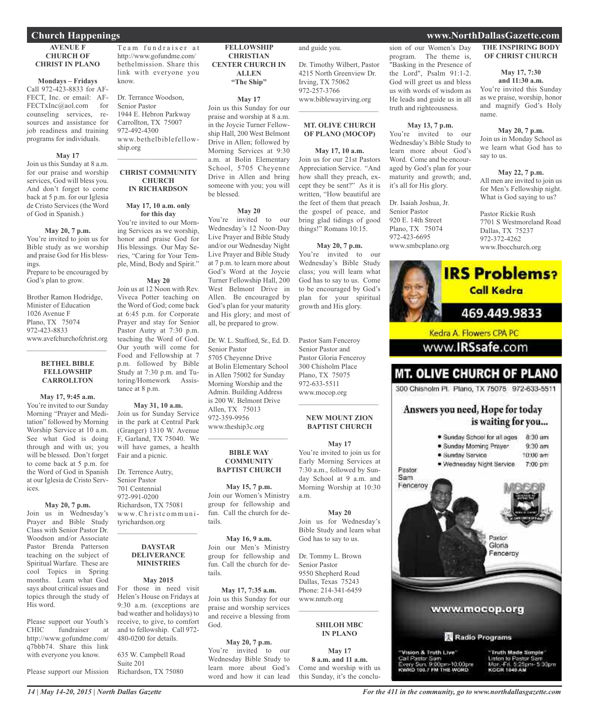### **AVENUE F CHURCH OF CHRIST IN PLANO**

**Mondays – Fridays** Call 972-423-8833 for AF-FECT, Inc. or email: AF-FECTxInc@aol.com for counseling services, resources and assistance for job readiness and training programs for individuals.

### **May 17**

Join us this Sunday at 8 a.m. for our praise and worship services, God will bless you. And don't forget to come back at 5 p.m. for our Iglesia de Cristo Services (the Word of God in Spanish.)

#### **May 20, 7 p.m.**

You're invited to join us for Bible study as we worship and praise God for His blessings. Prepare to be encouraged by

God's plan to grow.

Brother Ramon Hodridge, Minister of Education 1026 Avenue F Plano, TX 75074 972-423-8833 www.avefchurchofchrist.org

#### **BETHEL BIBLE FELLOWSHIP CARROLLTON**

 $\mathcal{L}_\text{max}$  , where  $\mathcal{L}_\text{max}$  and  $\mathcal{L}_\text{max}$ 

**May 17, 9:45 a.m.**

You're invited to our Sunday Morning "Prayer and Meditation" followed by Morning Worship Service at 10 a.m. See what God is doing through and with us; you will be blessed. Don't forget to come back at 5 p.m. for the Word of God in Spanish at our Iglesia de Cristo Services.

### **May 20, 7 p.m.**

Join us in Wednesday's Prayer and Bible Study Class with Senior Pastor Dr. Woodson and/or Associate Pastor Brenda Patterson teaching on the subject of Spiritual Warfare. These are cool Topics in Spring months. Learn what God says about critical issues and topics through the study of His word.

Please support our Youth's CHIC fundraiser at http://www.gofundme.com/ q7bbb74. Share this link with everyone you know.

Please support our Mission

Team fundraiser at http://www.gofundme.com/ bethelmission. Share this link with everyone you know.

Dr. Terrance Woodson, Senior Pastor 1944 E. Hebron Parkway Carrollton, TX 75007 972-492-4300 www.bethelbiblefellowship.org \_\_\_\_\_\_\_\_\_\_\_\_\_\_\_\_\_\_\_\_\_\_

#### **CHRIST COMMUNITY CHURCH IN RICHARDSON**

### **May 17, 10 a.m. only for this day**

You're invited to our Morning Services as we worship, honor and praise God for His blessings. Our May Series, "Caring for Your Temple, Mind, Body and Spirit."

#### **May 20**

Join us at 12 Noon with Rev. Viveca Potter teaching on the Word of God; come back at 6:45 p.m. for Corporate Prayer and stay for Senior Pastor Autry at 7:30 p.m. teaching the Word of God. Our youth will come for Food and Fellowship at 7 p.m. followed by Bible Study at 7:30 p.m. and Tutoring/Homework Assistance at 8 p.m.

#### **May 31, 10 a.m.**

Join us for Sunday Service in the park at Central Park (Granger) 1310 W. Avenue F, Garland, TX 75040. We will have games, a health Fair and a picnic.

Dr. Terrence Autry, Senior Pastor 701 Centennial 972-991-0200 Richardson, TX 75081 www.Christcommunityrichardson.org

#### **DAYSTAR DELIVERANCE MINISTRIES**

\_\_\_\_\_\_\_\_\_\_\_\_\_\_\_\_\_\_\_\_\_\_

**May 2015** For those in need visit Helen's House on Fridays at 9:30 a.m. (exceptions are bad weather and holidays) to receive, to give, to comfort and to fellowship. Call 972- 480-0200 for details.

635 W. Campbell Road Suite 201 Richardson, TX 75080

#### **FELLOWSHIP CHRISTIAN CENTER CHURCH IN ALLEN "The Ship"**

#### **May 17**

Join us this Sunday for our praise and worship at 8 a.m. in the Joycie Turner Fellowship Hall, 200 West Belmont Drive in Allen; followed by Morning Services at 9:30 a.m. at Bolin Elementary School, 5705 Cheyenne Drive in Allen and bring someone with you; you will be blessed.

#### **May 20**

You're invited to our Wednesday's 12 Noon-Day Live Prayer and Bible Study and/or our Wednesday Night Live Prayer and Bible Study at 7 p.m. to learn more about God's Word at the Joycie Turner Fellowship Hall, 200 West Belmont Drive in Allen. Be encouraged by God's plan for your maturity and His glory; and most of all, be prepared to grow.

Dr. W. L. Stafford, Sr., Ed. D. Senior Pastor 5705 Cheyenne Drive at Bolin Elementary School in Allen 75002 for Sunday Morning Worship and the Admin. Building Address is 200 W. Belmont Drive Allen, TX 75013 972-359-9956 www.theship3c.org

### **BIBLE WAY COMMUNITY BAPTIST CHURCH**

 $\mathcal{L}$  , we are the set of the set of the set of the set of the set of the set of the set of the set of the set of the set of the set of the set of the set of the set of the set of the set of the set of the set of the s

**May 15, 7 p.m.** Join our Women's Ministry group for fellowship and fun. Call the church for details.

**May 16, 9 a.m.** Join our Men's Ministry group for fellowship and fun. Call the church for details.

**May 17, 7:35 a.m.** Join us this Sunday for our praise and worship services and receive a blessing from God.

**May 20, 7 p.m.** You're invited to our Wednesday Bible Study to learn more about God's word and how it can lead

### and guide you.

Dr. Timothy Wilbert, Pastor 4215 North Greenview Dr. Irving, TX 75062 972-257-3766 www.biblewayirving.org

### **MT. OLIVE CHURCH OF PLANO (MOCOP)**

 $\mathcal{L}$  , and the set of the set of the set of the set of the set of the set of the set of the set of the set of the set of the set of the set of the set of the set of the set of the set of the set of the set of the set

#### **May 17, 10 a.m.**

Join us for our 21st Pastors Appreciation Service. "And how shall they preach, except they be sent?" As it is written, "How beautiful are the feet of them that preach the gospel of peace, and bring glad tidings of good things!" Romans 10:15.

### **May 20, 7 p.m.**

You're invited to our Wednesday's Bible Study class; you will learn what God has to say to us. Come to be encouraged by God's plan for your spiritual growth and His glory.

Pastor Sam Fenceroy Senior Pastor and Pastor Gloria Fenceroy 300 Chisholm Place Plano, TX 75075 972-633-5511 www.mocop.org  $\mathcal{L}$  , and the set of the set of the set of the set of the set of the set of the set of the set of the set of the set of the set of the set of the set of the set of the set of the set of the set of the set of the set

### **BAPTIST CHURCH May 17**

**NEW MOUNT ZION**

You're invited to join us for Early Morning Services at 7:30 a.m., followed by Sunday School at 9 a.m. and Morning Worship at 10:30 a.m.

### **May 20**

Join us for Wednesday's Bible Study and learn what God has to say to us.

Dr. Tommy L. Brown Senior Pastor 9550 Shepherd Road Dallas, Texas 75243 Phone: 214-341-6459 www.nmzb.org

> **SHILOH MBC IN PLANO**

 $\mathcal{L}=\mathcal{L}=\mathcal{L}=\mathcal{L}=\mathcal{L}=\mathcal{L}=\mathcal{L}=\mathcal{L}=\mathcal{L}=\mathcal{L}=\mathcal{L}=\mathcal{L}=\mathcal{L}=\mathcal{L}=\mathcal{L}=\mathcal{L}=\mathcal{L}=\mathcal{L}=\mathcal{L}=\mathcal{L}=\mathcal{L}=\mathcal{L}=\mathcal{L}=\mathcal{L}=\mathcal{L}=\mathcal{L}=\mathcal{L}=\mathcal{L}=\mathcal{L}=\mathcal{L}=\mathcal{L}=\mathcal{L}=\mathcal{L}=\mathcal{L}=\mathcal{L}=\mathcal{L}=\mathcal{$ 

**May 17 8 a.m. and 11 a.m.** Come and worship with us this Sunday, it's the conclusion of our Women's Day program. The theme is, "Basking in the Presence of the Lord", Psalm 91:1-2. God will greet us and bless us with words of wisdom as He leads and guide us in all truth and righteousness.

### **May 13, 7 p.m.**

You're invited to our Wednesday's Bible Study to learn more about God's Word. Come and be encouraged by God's plan for your maturity and growth; and, it's all for His glory.

Dr. Isaiah Joshua, Jr. Senior Pastor 920 E. 14th Street Plano, TX 75074 972-423-6695 www.smbcplano.org

### **Church Happenings www.NorthDallasGazette.com**

**THE INSPIRING BODY OF CHRIST CHURCH**

#### **May 17, 7:30 and 11:30 a.m.**

You're invited this Sunday as we praise, worship, honor and magnify God's Holy name.

#### **May 20, 7 p.m.**

Join us in Monday School as we learn what God has to say to us.

**May 22, 7 p.m.** All men are invited to join us for Men's Fellowship night. What is God saying to us?

Pastor Rickie Rush 7701 S Westmoreland Road Dallas, TX 75237 972-372-4262 www.Ibocchurch.org



*14 | May 14-20, 2015 | North Dallas Gazette*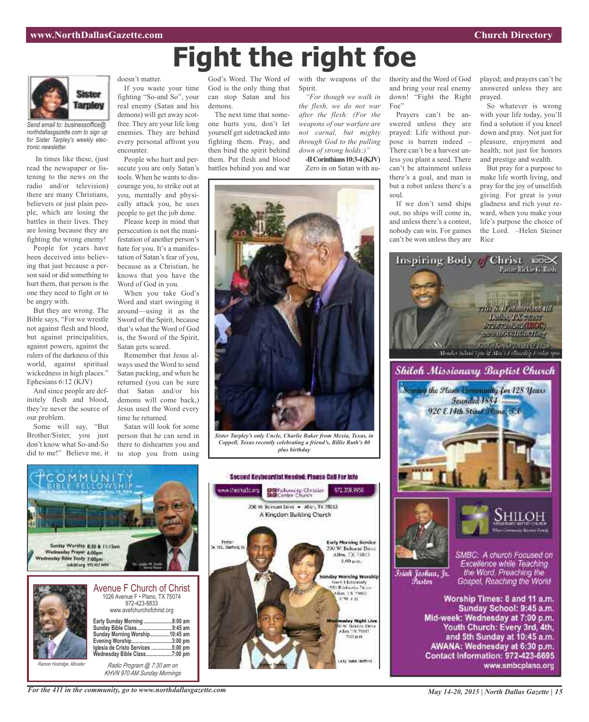## Sister arpley

*Send email to: businessoffice@ northdallasgazette.com to sign up for Sister Tarpley's weekly electronic newsletter.*

In times like these, (just read the newspaper or listening to the news on the radio and/or television) there are many Christians, believers or just plain people, which are losing the battles in their lives. They are losing because they are fighting the wrong enemy!

People for years have been deceived into believing that just because a person said or did something to hurt them, that person is the one they need to fight or to be angry with.

But they are wrong. The Bible says, "For we wrestle not against flesh and blood, but against principalities, against powers, against the rulers of the darkness of this world, against spiritual wickedness in high places." Ephesians 6:12 (KJV)

And since people are definitely flesh and blood, they're never the source of our problem.

Some will say, "But Brother/Sister, you just don't know what So-and-So did to me!" Believe me, it doesn't matter.

If you waste your time fighting "So-and So", your real enemy (Satan and his demons) will get away scotfree. They are your life long enemies. They are behind every personal affront you encounter.

People who hurt and persecute you are only Satan's tools. When he wants to discourage you, to strike out at you, mentally and physically attack you, he uses people to get the job done.

Please keep in mind that persecution is not the manifestation of another person's hate for you. It's a manifestation of Satan's fear of you, because as a Christian, he knows that you have the Word of God in you.

When you take God's Word and start swinging it around—using it as the Sword of the Spirit, because that's what the Word of God is, the Sword of the Spirit, Satan gets scared.

Remember that Jesus always used the Word to send Satan packing, and when he returned (you can be sure that Satan and/or his demons will come back,) Jesus used the Word every time he returned.

Satan will look for some person that he can send in there to dishearten you and to stop you from using

God's Word. The Word of God is the only thing that can stop Satan and his demons.

The next time that someone hurts you, don't let yourself get sidetracked into fighting them. Pray, and then bind the spirit behind them. Put flesh and blood battles behind you and war

with the weapons of the Spirit.

**Fight the right foe**

*"For though we walk in the flesh, we do not war after the flesh: (For the weapons of our warfare are not carnal, but mighty through God to the pulling down of strong holds;)"*

**-IICorinthians10:3-4(KJV)** Zero in on Satan with authority and the Word of God and bring your real enemy down! "Fight the Right Foe"

Prayers can't be answered unless they are prayed: Life without purpose is barren indeed – There can't be a harvest unless you plant a seed. There can't be attainment unless there's a goal, and man is but a robot unless there's a soul.

If we don't send ships out, no ships will come in, and unless there's a contest, nobody can win. For games can't be won unless they are

Inspiring Body of

played; and prayers can't be answered unless they are prayed. So whatever is wrong

with your life today, you'll find a solution if you kneel down and pray. Not just for pleasure, enjoyment and health; not just for honors and prestige and wealth.

But pray for a purpose to make life worth living, and pray for the joy of unselfish giving. For great is your gladness and rich your reward, when you make your life's purpose the choice of the Lord. –Helen Steiner Rice

Christ Cox



*Sister Tarpley's only Uncle, Charlie Baker from Mexia, Texas, in Coppell, Texas recently celebrating a friend's, Billie Ruth's 80 plus birthday*



*Radio Program @ 7:30 am on KHVN 970 AM Sunday Mornings*



*For the 411 in the community, go to www.northdallasgazette.com*

ryot S. W. como dini 165 Luther TX recor **UPLATA-ESSALLOCI** *<u>STERING CONCRETE COMPANY</u>* Monder School Tym & Mito 9 Fellowskip Eridor sp. Shiloh Missionary Baptist Church the Plant Community for 128 Years Founded 1884 920 E 14th Street Flame, 33



Islah Joshua, Jr.

Fustor



SMBC: A church Focused on Excellence while Teaching<br>the Word, Preaching the Gospel, Reaching the World

Worship Times: 8 and 11 a.m. Sunday School: 9:45 a.m. Mid-week: Wednesday at 7:00 p.m. Youth Church: Every 3rd, 4th, and 5th Sunday at 10:45 a.m. AWANA: Wednesday at 6:30 p.m. Contact Information: 972-423-6695 www.smbcplano.org